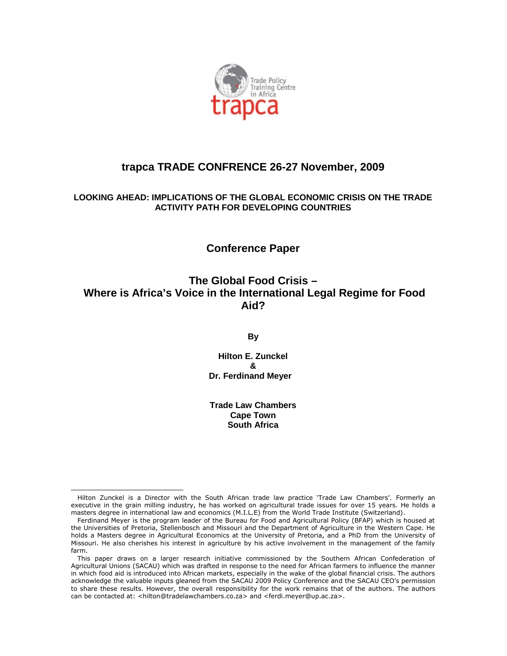

## **trapca TRADE CONFRENCE 26-27 November, 2009**

#### **LOOKING AHEAD: IMPLICATIONS OF THE GLOBAL ECONOMIC CRISIS ON THE TRADE ACTIVITY PATH FOR DEVELOPING COUNTRIES**

## **Conference Paper**

## **The Global Food Crisis – Where is Africa's Voice in the International Legal Regime for Food Aid?**

**By**

**Hilton E. Zunckel & Dr. Ferdinand Meyer** 

**Trade Law Chambers Cape Town South Africa**

Hilton Zunckel is a Director with the South African trade law practice 'Trade Law Chambers'. Formerly an executive in the grain milling industry, he has worked on agricultural trade issues for over 15 years. He holds a masters degree in international law and economics (M.I.L.E) from the World Trade Institute (Switzerland).

Ferdinand Meyer is the program leader of the Bureau for Food and Agricultural Policy (BFAP) which is housed at the Universities of Pretoria, Stellenbosch and Missouri and the Department of Agriculture in the Western Cape. He holds a Masters degree in Agricultural Economics at the University of Pretoria, and a PhD from the University of Missouri. He also cherishes his interest in agriculture by his active involvement in the management of the family farm.

This paper draws on a larger research initiative commissioned by the Southern African Confederation of Agricultural Unions (SACAU) which was drafted in response to the need for African farmers to influence the manner in which food aid is introduced into African markets, especially in the wake of the global financial crisis. The authors acknowledge the valuable inputs gleaned from the SACAU 2009 Policy Conference and the SACAU CEO's permission to share these results. However, the overall responsibility for the work remains that of the authors. The authors can be contacted at: <hilton@tradelawchambers.co.za> and <ferdi.meyer@up.ac.za>.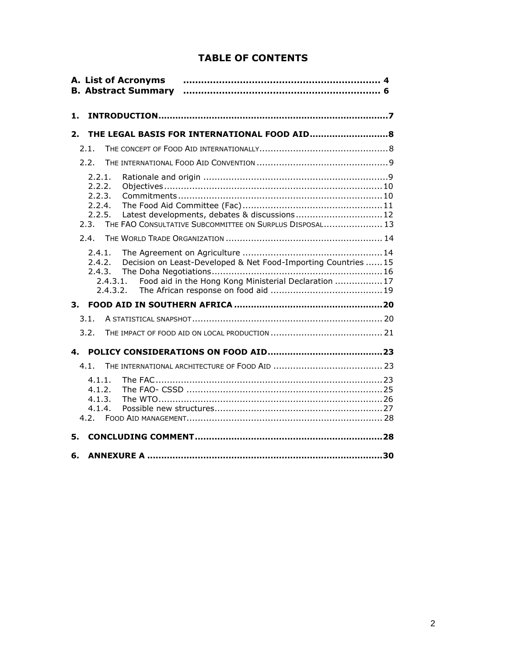## **TABLE OF CONTENTS**

| A. List of Acronyms<br><b>B. Abstract Summary</b>                                                                                                                                                                                                                                                                                                          |  |
|------------------------------------------------------------------------------------------------------------------------------------------------------------------------------------------------------------------------------------------------------------------------------------------------------------------------------------------------------------|--|
| 1.                                                                                                                                                                                                                                                                                                                                                         |  |
| 2.                                                                                                                                                                                                                                                                                                                                                         |  |
| 2.1.                                                                                                                                                                                                                                                                                                                                                       |  |
| 2.2.                                                                                                                                                                                                                                                                                                                                                       |  |
| 2.2.1.<br>2.2.2.<br>2.2.3.<br>2.2.4.<br>Latest developments, debates & discussions 12<br>2.2.5.<br>2.3.<br>THE FAO CONSULTATIVE SUBCOMMITTEE ON SURPLUS DISPOSAL 13<br>2.4.<br>2.4.1.<br>Decision on Least-Developed & Net Food-Importing Countries 15<br>2.4.2.<br>2.4.3.<br>Food aid in the Hong Kong Ministerial Declaration 17<br>2.4.3.1.<br>2.4.3.2. |  |
| 3.                                                                                                                                                                                                                                                                                                                                                         |  |
| 3.1.                                                                                                                                                                                                                                                                                                                                                       |  |
| 3.2.                                                                                                                                                                                                                                                                                                                                                       |  |
| 4.                                                                                                                                                                                                                                                                                                                                                         |  |
| 4.1.                                                                                                                                                                                                                                                                                                                                                       |  |
| 4.1.1.<br>4.1.2.<br>4.1.3.<br>4.1.4.<br>4.2.                                                                                                                                                                                                                                                                                                               |  |
| 5.                                                                                                                                                                                                                                                                                                                                                         |  |
| 6.                                                                                                                                                                                                                                                                                                                                                         |  |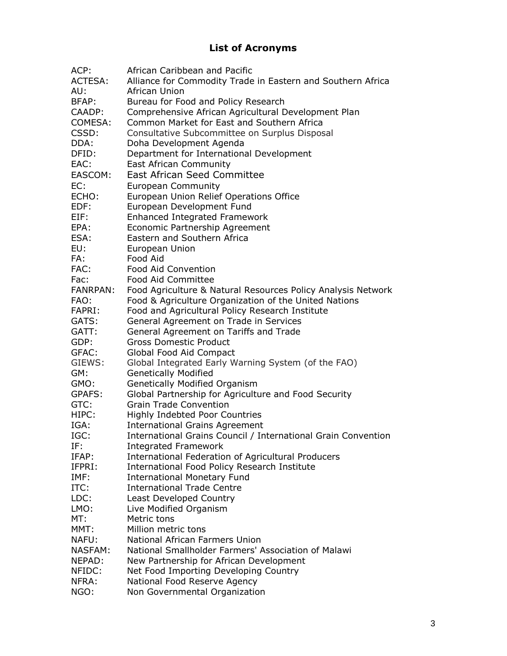# **List of Acronyms**

| ACP:            | African Caribbean and Pacific                                 |  |  |  |
|-----------------|---------------------------------------------------------------|--|--|--|
| <b>ACTESA:</b>  | Alliance for Commodity Trade in Eastern and Southern Africa   |  |  |  |
| AU:             | African Union                                                 |  |  |  |
| BFAP:           | Bureau for Food and Policy Research                           |  |  |  |
| CAADP:          | Comprehensive African Agricultural Development Plan           |  |  |  |
| COMESA:         | Common Market for East and Southern Africa                    |  |  |  |
| CSSD:           | Consultative Subcommittee on Surplus Disposal                 |  |  |  |
| DDA:            | Doha Development Agenda                                       |  |  |  |
| DFID:           | Department for International Development                      |  |  |  |
| EAC:            | <b>East African Community</b>                                 |  |  |  |
| EASCOM:         | <b>East African Seed Committee</b>                            |  |  |  |
| EC:             |                                                               |  |  |  |
| ECHO:           | <b>European Community</b>                                     |  |  |  |
|                 | European Union Relief Operations Office                       |  |  |  |
| EDF:            | European Development Fund                                     |  |  |  |
| EIF:            | Enhanced Integrated Framework                                 |  |  |  |
| EPA:            | Economic Partnership Agreement                                |  |  |  |
| ESA:            | Eastern and Southern Africa                                   |  |  |  |
| EU:             | European Union                                                |  |  |  |
| FA:             | Food Aid                                                      |  |  |  |
| FAC:            | Food Aid Convention                                           |  |  |  |
| Fac:            | <b>Food Aid Committee</b>                                     |  |  |  |
| <b>FANRPAN:</b> | Food Agriculture & Natural Resources Policy Analysis Network  |  |  |  |
| FAO:            | Food & Agriculture Organization of the United Nations         |  |  |  |
| FAPRI:          | Food and Agricultural Policy Research Institute               |  |  |  |
| GATS:           | General Agreement on Trade in Services                        |  |  |  |
| GATT:           | General Agreement on Tariffs and Trade                        |  |  |  |
| GDP:            | <b>Gross Domestic Product</b>                                 |  |  |  |
| GFAC:           | Global Food Aid Compact                                       |  |  |  |
| GIEWS:          | Global Integrated Early Warning System (of the FAO)           |  |  |  |
| GM:             | <b>Genetically Modified</b>                                   |  |  |  |
| GMO:            | Genetically Modified Organism                                 |  |  |  |
| GPAFS:          | Global Partnership for Agriculture and Food Security          |  |  |  |
| GTC:            | <b>Grain Trade Convention</b>                                 |  |  |  |
| HIPC:           | Highly Indebted Poor Countries                                |  |  |  |
| IGA:            | <b>International Grains Agreement</b>                         |  |  |  |
| IGC:            | International Grains Council / International Grain Convention |  |  |  |
| IF:             | <b>Integrated Framework</b>                                   |  |  |  |
| IFAP:           | International Federation of Agricultural Producers            |  |  |  |
| IFPRI:          | International Food Policy Research Institute                  |  |  |  |
| IMF:            | <b>International Monetary Fund</b>                            |  |  |  |
| ITC:            | <b>International Trade Centre</b>                             |  |  |  |
| LDC:            | Least Developed Country                                       |  |  |  |
| LMO:            | Live Modified Organism                                        |  |  |  |
| MT:             | Metric tons                                                   |  |  |  |
| MMT:            | Million metric tons                                           |  |  |  |
| NAFU:           | National African Farmers Union                                |  |  |  |
| NASFAM:         | National Smallholder Farmers' Association of Malawi           |  |  |  |
| NEPAD:          | New Partnership for African Development                       |  |  |  |
| NFIDC:          | Net Food Importing Developing Country                         |  |  |  |
| NFRA:           | National Food Reserve Agency                                  |  |  |  |
|                 |                                                               |  |  |  |
| NGO:            | Non Governmental Organization                                 |  |  |  |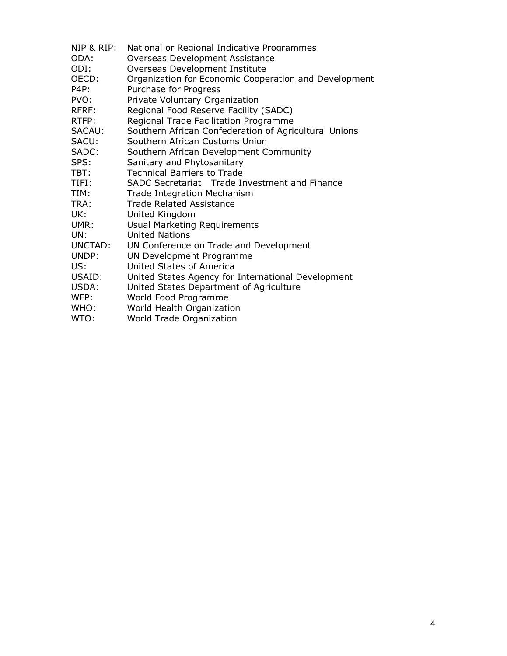- NIP & RIP: National or Regional Indicative Programmes
- ODA: Overseas Development Assistance
- ODI: Overseas Development Institute<br>OECD: Organization for Economic Coope
- Organization for Economic Cooperation and Development
- P4P: Purchase for Progress
- PVO: Private Voluntary Organization
- RFRF: Regional Food Reserve Facility (SADC)
- RTFP: Regional Trade Facilitation Programme
- SACAU: Southern African Confederation of Agricultural Unions
- SACU: Southern African Customs Union
- SADC: Southern African Development Community
- SPS: Sanitary and Phytosanitary
- TBT: Technical Barriers to Trade
- TIFI: SADC Secretariat Trade Investment and Finance
- TIM: Trade Integration Mechanism
- TRA: Trade Related Assistance
- UK: United Kingdom
- UMR: Usual Marketing Requirements
- UN: United Nations
- UNCTAD: UN Conference on Trade and Development
- UNDP: UN Development Programme
- US: United States of America
- USAID: United States Agency for International Development
- USDA: United States Department of Agriculture
- WFP: World Food Programme
- WHO: World Health Organization
- WTO: World Trade Organization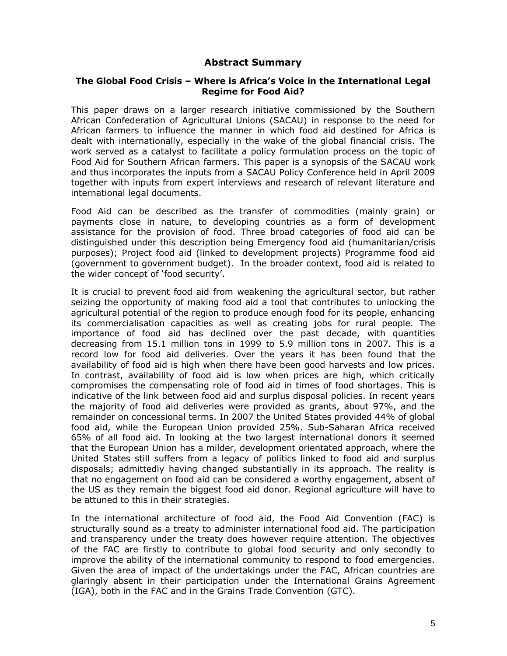#### **Abstract Summary**

#### **The Global Food Crisis – Where is Africa's Voice in the International Legal Regime for Food Aid?**

This paper draws on a larger research initiative commissioned by the Southern African Confederation of Agricultural Unions (SACAU) in response to the need for African farmers to influence the manner in which food aid destined for Africa is dealt with internationally, especially in the wake of the global financial crisis. The work served as a catalyst to facilitate a policy formulation process on the topic of Food Aid for Southern African farmers. This paper is a synopsis of the SACAU work and thus incorporates the inputs from a SACAU Policy Conference held in April 2009 together with inputs from expert interviews and research of relevant literature and international legal documents.

Food Aid can be described as the transfer of commodities (mainly grain) or payments close in nature, to developing countries as a form of development assistance for the provision of food. Three broad categories of food aid can be distinguished under this description being Emergency food aid (humanitarian/crisis purposes); Project food aid (linked to development projects) Programme food aid (government to government budget). In the broader context, food aid is related to the wider concept of 'food security'.

It is crucial to prevent food aid from weakening the agricultural sector, but rather seizing the opportunity of making food aid a tool that contributes to unlocking the agricultural potential of the region to produce enough food for its people, enhancing its commercialisation capacities as well as creating jobs for rural people. The importance of food aid has declined over the past decade, with quantities decreasing from 15.1 million tons in 1999 to 5.9 million tons in 2007. This is a record low for food aid deliveries. Over the years it has been found that the availability of food aid is high when there have been good harvests and low prices. In contrast, availability of food aid is low when prices are high, which critically compromises the compensating role of food aid in times of food shortages. This is indicative of the link between food aid and surplus disposal policies. In recent years the majority of food aid deliveries were provided as grants, about 97%, and the remainder on concessional terms. In 2007 the United States provided 44% of global food aid, while the European Union provided 25%. Sub-Saharan Africa received 65% of all food aid. In looking at the two largest international donors it seemed that the European Union has a milder, development orientated approach, where the United States still suffers from a legacy of politics linked to food aid and surplus disposals; admittedly having changed substantially in its approach. The reality is that no engagement on food aid can be considered a worthy engagement, absent of the US as they remain the biggest food aid donor. Regional agriculture will have to be attuned to this in their strategies.

In the international architecture of food aid, the Food Aid Convention (FAC) is structurally sound as a treaty to administer international food aid. The participation and transparency under the treaty does however require attention. The objectives of the FAC are firstly to contribute to global food security and only secondly to improve the ability of the international community to respond to food emergencies. Given the area of impact of the undertakings under the FAC, African countries are glaringly absent in their participation under the International Grains Agreement (IGA), both in the FAC and in the Grains Trade Convention (GTC).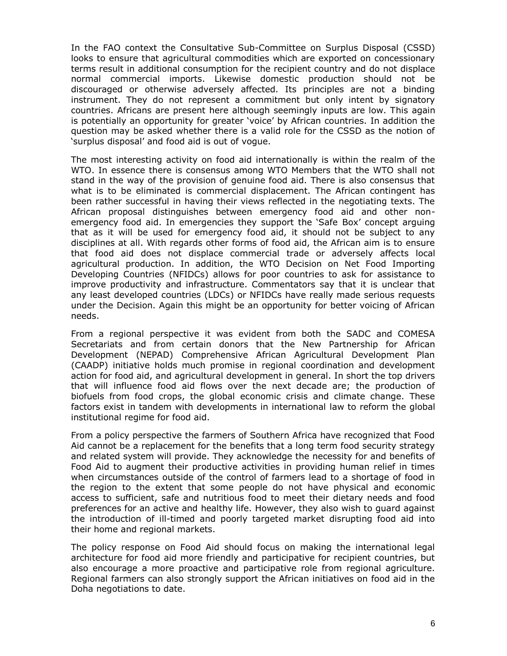In the FAO context the Consultative Sub-Committee on Surplus Disposal (CSSD) looks to ensure that agricultural commodities which are exported on concessionary terms result in additional consumption for the recipient country and do not displace normal commercial imports. Likewise domestic production should not be discouraged or otherwise adversely affected. Its principles are not a binding instrument. They do not represent a commitment but only intent by signatory countries. Africans are present here although seemingly inputs are low. This again is potentially an opportunity for greater 'voice' by African countries. In addition the question may be asked whether there is a valid role for the CSSD as the notion of 'surplus disposal' and food aid is out of vogue.

The most interesting activity on food aid internationally is within the realm of the WTO. In essence there is consensus among WTO Members that the WTO shall not stand in the way of the provision of genuine food aid. There is also consensus that what is to be eliminated is commercial displacement. The African contingent has been rather successful in having their views reflected in the negotiating texts. The African proposal distinguishes between emergency food aid and other nonemergency food aid. In emergencies they support the 'Safe Box' concept arguing that as it will be used for emergency food aid, it should not be subject to any disciplines at all. With regards other forms of food aid, the African aim is to ensure that food aid does not displace commercial trade or adversely affects local agricultural production. In addition, the WTO Decision on Net Food Importing Developing Countries (NFIDCs) allows for poor countries to ask for assistance to improve productivity and infrastructure. Commentators say that it is unclear that any least developed countries (LDCs) or NFIDCs have really made serious requests under the Decision. Again this might be an opportunity for better voicing of African needs.

From a regional perspective it was evident from both the SADC and COMESA Secretariats and from certain donors that the New Partnership for African Development (NEPAD) Comprehensive African Agricultural Development Plan (CAADP) initiative holds much promise in regional coordination and development action for food aid, and agricultural development in general. In short the top drivers that will influence food aid flows over the next decade are; the production of biofuels from food crops, the global economic crisis and climate change. These factors exist in tandem with developments in international law to reform the global institutional regime for food aid.

From a policy perspective the farmers of Southern Africa have recognized that Food Aid cannot be a replacement for the benefits that a long term food security strategy and related system will provide. They acknowledge the necessity for and benefits of Food Aid to augment their productive activities in providing human relief in times when circumstances outside of the control of farmers lead to a shortage of food in the region to the extent that some people do not have physical and economic access to sufficient, safe and nutritious food to meet their dietary needs and food preferences for an active and healthy life. However, they also wish to guard against the introduction of ill-timed and poorly targeted market disrupting food aid into their home and regional markets.

The policy response on Food Aid should focus on making the international legal architecture for food aid more friendly and participative for recipient countries, but also encourage a more proactive and participative role from regional agriculture. Regional farmers can also strongly support the African initiatives on food aid in the Doha negotiations to date.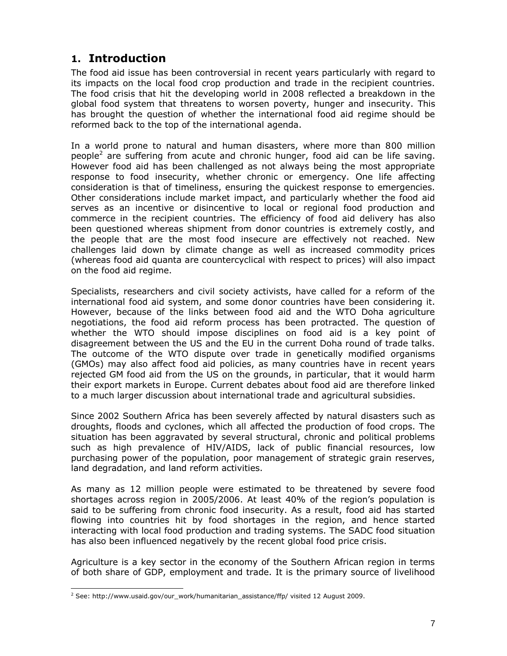# **1. Introduction**

The food aid issue has been controversial in recent years particularly with regard to its impacts on the local food crop production and trade in the recipient countries. The food crisis that hit the developing world in 2008 reflected a breakdown in the global food system that threatens to worsen poverty, hunger and insecurity. This has brought the question of whether the international food aid regime should be reformed back to the top of the international agenda.

In a world prone to natural and human disasters, where more than 800 million people<sup>2</sup> are suffering from acute and chronic hunger, food aid can be life saving. However food aid has been challenged as not always being the most appropriate response to food insecurity, whether chronic or emergency. One life affecting consideration is that of timeliness, ensuring the quickest response to emergencies. Other considerations include market impact, and particularly whether the food aid serves as an incentive or disincentive to local or regional food production and commerce in the recipient countries. The efficiency of food aid delivery has also been questioned whereas shipment from donor countries is extremely costly, and the people that are the most food insecure are effectively not reached. New challenges laid down by climate change as well as increased commodity prices (whereas food aid quanta are countercyclical with respect to prices) will also impact on the food aid regime.

Specialists, researchers and civil society activists, have called for a reform of the international food aid system, and some donor countries have been considering it. However, because of the links between food aid and the WTO Doha agriculture negotiations, the food aid reform process has been protracted. The question of whether the WTO should impose disciplines on food aid is a key point of disagreement between the US and the EU in the current Doha round of trade talks. The outcome of the WTO dispute over trade in genetically modified organisms (GMOs) may also affect food aid policies, as many countries have in recent years rejected GM food aid from the US on the grounds, in particular, that it would harm their export markets in Europe. Current debates about food aid are therefore linked to a much larger discussion about international trade and agricultural subsidies.

Since 2002 Southern Africa has been severely affected by natural disasters such as droughts, floods and cyclones, which all affected the production of food crops. The situation has been aggravated by several structural, chronic and political problems such as high prevalence of HIV/AIDS, lack of public financial resources, low purchasing power of the population, poor management of strategic grain reserves, land degradation, and land reform activities.

As many as 12 million people were estimated to be threatened by severe food shortages across region in 2005/2006. At least 40% of the region's population is said to be suffering from chronic food insecurity. As a result, food aid has started flowing into countries hit by food shortages in the region, and hence started interacting with local food production and trading systems. The SADC food situation has also been influenced negatively by the recent global food price crisis.

Agriculture is a key sector in the economy of the Southern African region in terms of both share of GDP, employment and trade. It is the primary source of livelihood

<sup>&</sup>lt;sup>2</sup> See: http://www.usaid.gov/our\_work/humanitarian\_assistance/ffp/ visited 12 August 2009.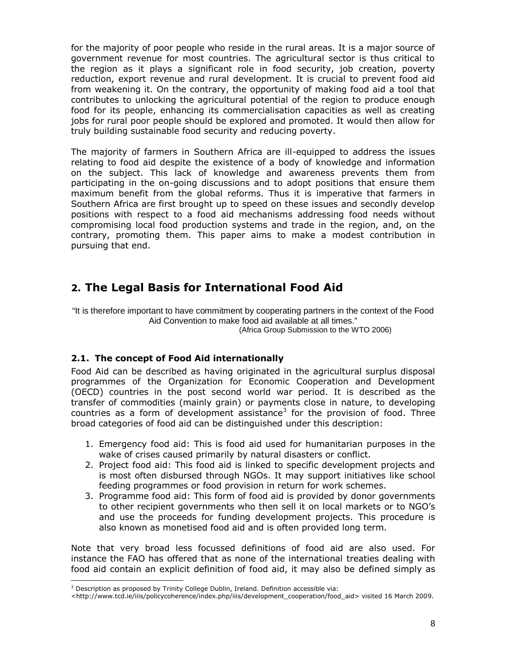for the majority of poor people who reside in the rural areas. It is a major source of government revenue for most countries. The agricultural sector is thus critical to the region as it plays a significant role in food security, job creation, poverty reduction, export revenue and rural development. It is crucial to prevent food aid from weakening it. On the contrary, the opportunity of making food aid a tool that contributes to unlocking the agricultural potential of the region to produce enough food for its people, enhancing its commercialisation capacities as well as creating jobs for rural poor people should be explored and promoted. It would then allow for truly building sustainable food security and reducing poverty.

The majority of farmers in Southern Africa are ill-equipped to address the issues relating to food aid despite the existence of a body of knowledge and information on the subject. This lack of knowledge and awareness prevents them from participating in the on-going discussions and to adopt positions that ensure them maximum benefit from the global reforms. Thus it is imperative that farmers in Southern Africa are first brought up to speed on these issues and secondly develop positions with respect to a food aid mechanisms addressing food needs without compromising local food production systems and trade in the region, and, on the contrary, promoting them. This paper aims to make a modest contribution in pursuing that end.

# **2. The Legal Basis for International Food Aid**

"It is therefore important to have commitment by cooperating partners in the context of the Food Aid Convention to make food aid available at all times." (Africa Group Submission to the WTO 2006)

#### **2.1. The concept of Food Aid internationally**

Food Aid can be described as having originated in the agricultural surplus disposal programmes of the Organization for Economic Cooperation and Development (OECD) countries in the post second world war period. It is described as the transfer of commodities (mainly grain) or payments close in nature, to developing countries as a form of development assistance<sup>3</sup> for the provision of food. Three broad categories of food aid can be distinguished under this description:

- 1. Emergency food aid: This is food aid used for humanitarian purposes in the wake of crises caused primarily by natural disasters or conflict.
- 2. Project food aid: This food aid is linked to specific development projects and is most often disbursed through NGOs. It may support initiatives like school feeding programmes or food provision in return for work schemes.
- 3. Programme food aid: This form of food aid is provided by donor governments to other recipient governments who then sell it on local markets or to NGO's and use the proceeds for funding development projects. This procedure is also known as monetised food aid and is often provided long term.

Note that very broad less focussed definitions of food aid are also used. For instance the FAO has offered that as none of the international treaties dealing with food aid contain an explicit definition of food aid, it may also be defined simply as

<sup>3</sup> Description as proposed by Trinity College Dublin, Ireland. Definition accessible via:

<sup>&</sup>lt;http:[//www.tcd.ie/iiis/policycoherence/index.php/iiis/development\\_c](http://www.usaid.gov/our_work/humanitarian_assistance/ffp/)ooperation/food\_aid> visited 16 March 2009.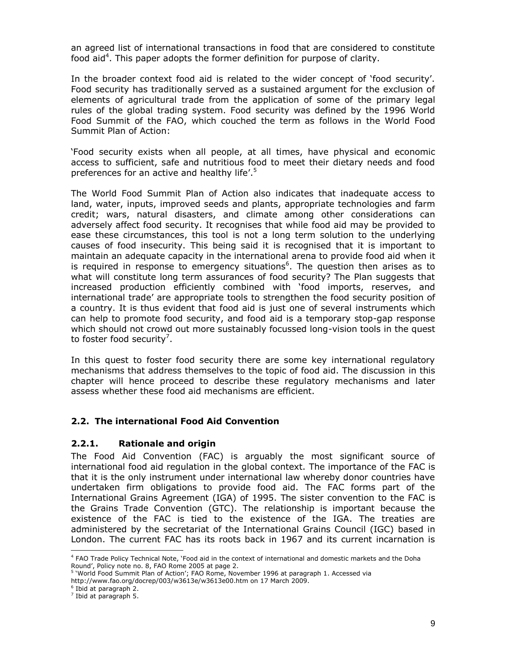an agreed list of international transactions in food that are considered to constitute food aid<sup>4</sup>. This paper adopts the former definition for purpose of clarity.

In the broader context food aid is related to the wider concept of 'food security'. Food security has traditionally served as a sustained argument for the exclusion of elements of agricultural trade from the application of some of the primary legal rules of the global trading system. Food security was defined by the 1996 World Food Summit of the FAO, which couched the term as follows in the World Food Summit Plan of Action:

'Food security exists when all people, at all times, have physical and economic access to sufficient, safe and nutritious food to meet their dietary needs and food preferences for an active and healthy life'.<sup>5</sup>

The World Food Summit Plan of Action also indicates that inadequate access to land, water, inputs, improved seeds and plants, appropriate technologies and farm credit; wars, natural disasters, and climate among other considerations can adversely affect food security. It recognises that while food aid may be provided to ease these circumstances, this tool is not a long term solution to the underlying causes of food insecurity. This being said it is recognised that it is important to maintain an adequate capacity in the international arena to provide food aid when it is required in response to emergency situations<sup>6</sup>. The question then arises as to what will constitute long term assurances of food security? The Plan suggests that increased production efficiently combined with 'food imports, reserves, and international trade' are appropriate tools to strengthen the food security position of a country. It is thus evident that food aid is just one of several instruments which can help to promote food security, and food aid is a temporary stop-gap response which should not crowd out more sustainably focussed long-vision tools in the quest to foster food security<sup>7</sup>.

In this quest to foster food security there are some key international regulatory mechanisms that address themselves to the topic of food aid. The discussion in this chapter will hence proceed to describe these regulatory mechanisms and later assess whether these food aid mechanisms are efficient.

#### **2.2. The international Food Aid Convention**

#### **2.2.1. Rationale and origin**

The Food Aid Convention (FAC) is arguably the most significant source of international food aid regulation in the global context. The importance of the FAC is that it is the only instrument under international law whereby donor countries have undertaken firm obligations to provide food aid. The FAC forms part of the International Grains Agreement (IGA) of 1995. The sister convention to the FAC is the Grains Trade Convention (GTC). The relationship is important because the existence of the FAC is tied to the existence of the IGA. The treaties are administered by the secretariat of the International Grains Council (IGC) based in London. The current FAC has its roots back in 1967 and its current incarnation is

<sup>4</sup> FAO Trade Policy Technical Note, 'Food aid in the context of international and domestic markets and the Doha Round', Policy note no. 8, FAO Rome 2005 at page 2.<br><sup>5</sup> 'World Food Summit Plan of Action'; FAO Rome, November 1996 at paragraph 1. Accessed via

<http://www.fao.org/docrep/003/w3613e/w3613e00.htm>on 17 March 2009.

<sup>6</sup> Ibid at paragraph 2.

 $<sup>7</sup>$  [Ibid at paragraph 5.](http://www.tcd.ie/iiis/policycoherence/index.php/)</sup>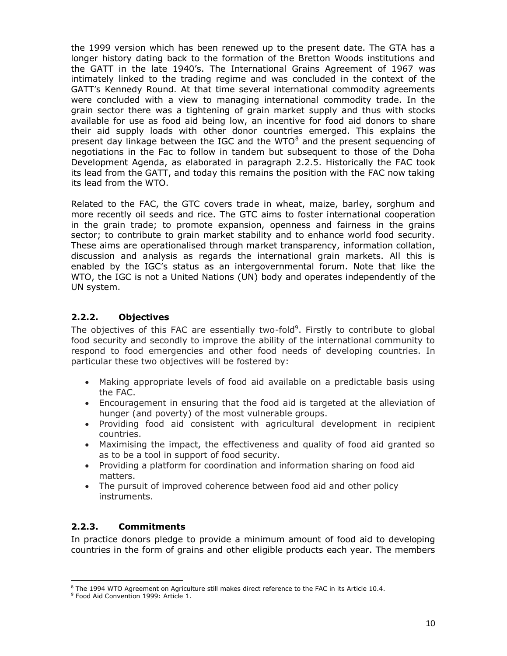the 1999 version which has been renewed up to the present date. The GTA has a longer history dating back to the formation of the Bretton Woods institutions and the GATT in the late 1940's. The International Grains Agreement of 1967 was intimately linked to the trading regime and was concluded in the context of the GATT's Kennedy Round. At that time several international commodity agreements were concluded with a view to managing international commodity trade. In the grain sector there was a tightening of grain market supply and thus with stocks available for use as food aid being low, an incentive for food aid donors to share their aid supply loads with other donor countries emerged. This explains the present day linkage between the IGC and the WTO<sup>8</sup> and the present sequencing of negotiations in the Fac to follow in tandem but subsequent to those of the Doha Development Agenda, as elaborated in paragraph 2.2.5. Historically the FAC took its lead from the GATT, and today this remains the position with the FAC now taking its lead from the WTO.

Related to the FAC, the GTC covers trade in wheat, maize, barley, sorghum and more recently oil seeds and rice. The GTC aims to foster international cooperation in the grain trade; to promote expansion, openness and fairness in the grains sector; to contribute to grain market stability and to enhance world food security. These aims are operationalised through market transparency, information collation, discussion and analysis as regards the international grain markets. All this is enabled by the IGC's status as an intergovernmental forum. Note that like the WTO, the IGC is not a United Nations (UN) body and operates independently of the UN system.

### **2.2.2. Objectives**

The objectives of this FAC are essentially two-fold<sup>9</sup>. Firstly to contribute to global food security and secondly to improve the ability of the international community to respond to food emergencies and other food needs of developing countries. In particular these two objectives will be fostered by:

- Making appropriate levels of food aid available on a predictable basis using the FAC.
- Encouragement in ensuring that the food aid is targeted at the alleviation of hunger (and poverty) of the most vulnerable groups.
- Providing food aid consistent with agricultural development in recipient countries.
- Maximising the impact, the effectiveness and quality of food aid granted so as to be a tool in support of food security.
- Providing a platform for coordination and information sharing on food aid matters.
- The pursuit of improved coherence between food aid and other policy instruments.

#### **2.2.3. Commitments**

In practice donors pledge to provide a minimum amount of food aid to developing countries in the form of grains and other eligible products each year. The members

 $^{\rm 8}$  The 1994 WTO Agreement on Agriculture still makes direct reference to the FAC in its Article 10.4.

<sup>&</sup>lt;sup>9</sup> Food Aid Convention 1999: Article 1.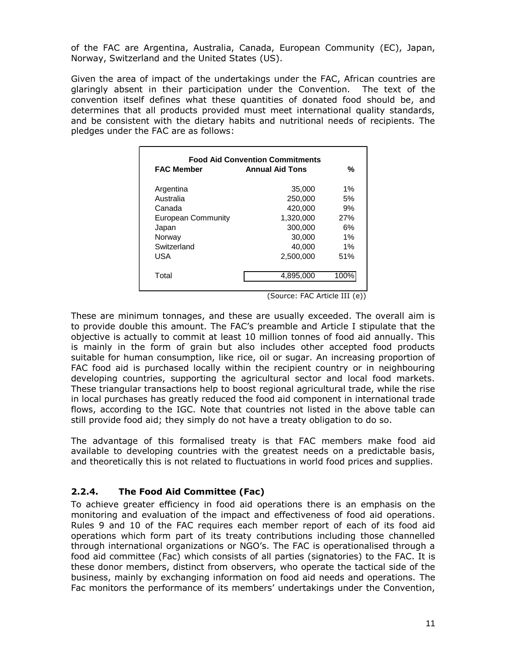of the FAC are Argentina, Australia, Canada, European Community (EC), Japan, Norway, Switzerland and the United States (US).

Given the area of impact of the undertakings under the FAC, African countries are glaringly absent in their participation under the Convention. The text of the convention itself defines what these quantities of donated food should be, and determines that all products provided must meet international quality standards, and be consistent with the dietary habits and nutritional needs of recipients. The pledges under the FAC are as follows:

| <b>FAC Member</b>  | <b>Food Aid Convention Commitments</b><br><b>Annual Aid Tons</b> | %    |
|--------------------|------------------------------------------------------------------|------|
| Argentina          | 35,000                                                           | 1%   |
| Australia          | 250,000                                                          | 5%   |
| Canada             | 420,000                                                          | 9%   |
| European Community | 1.320.000                                                        | 27%  |
| Japan              | 300,000                                                          | 6%   |
| Norway             | 30,000                                                           | 1%   |
| Switzerland        | 40,000                                                           | 1%   |
| USA                | 2,500,000                                                        | 51%  |
| Total              | 4,895,000                                                        | 100% |

(Source: FAC Article III (e))

These are minimum tonnages, and these are usually exceeded. The overall aim is to provide double this amount. The FAC's preamble and Article I stipulate that the objective is actually to commit at least 10 million tonnes of food aid annually. This is mainly in the form of grain but also includes other accepted food products suitable for human consumption, like rice, oil or sugar. An increasing proportion of FAC food aid is purchased locally within the recipient country or in neighbouring developing countries, supporting the agricultural sector and local food markets. These triangular transactions help to boost regional agricultural trade, while the rise in local purchases has greatly reduced the food aid component in international trade flows, according to the IGC. Note that countries not listed in the above table can still provide food aid; they simply do not have a treaty obligation to do so.

The advantage of this formalised treaty is that FAC members make food aid available to developing countries with the greatest needs on a predictable basis, and theoretically this is not related to fluctuations in world food prices and supplies.

## **2.2.4. The Food Aid Committee (Fac)**

To achieve greater efficiency in food aid operations there is an emphasis on the monitoring and evaluation of the impact and effectiveness of food aid operations. Rules 9 and 10 of the FAC requires each member report of each of its food aid operations which form part of its treaty contributions including those channelled through international organizations or NGO's. The FAC is operationalised through a food aid committee (Fac) which consists of all parties (signatories) to the FAC. It is these donor members, distinct from observers, who operate the tactical side of the business, mainly by exchanging information on food aid needs and operations. The Fac monitors the performance of its members' undertakings under the Convention,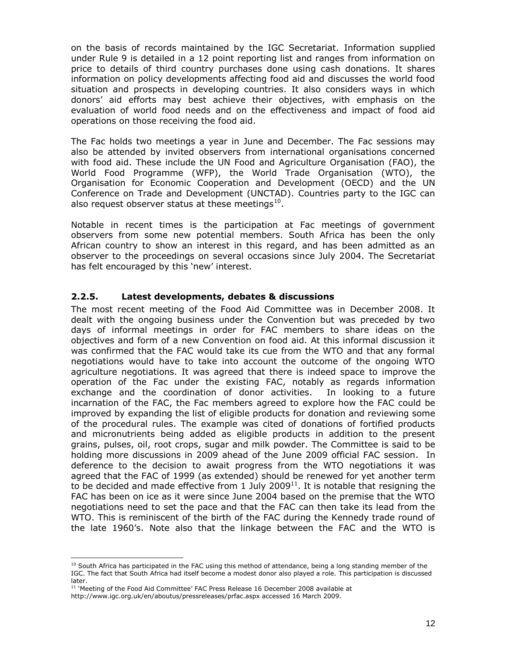on the basis of records maintained by the IGC Secretariat. Information supplied under Rule 9 is detailed in a 12 point reporting list and ranges from information on price to details of third country purchases done using cash donations. It shares information on policy developments affecting food aid and discusses the world food situation and prospects in developing countries. It also considers ways in which donors' aid efforts may best achieve their objectives, with emphasis on the evaluation of world food needs and on the effectiveness and impact of food aid operations on those receiving the food aid.

The Fac holds two meetings a year in June and December. The Fac sessions may also be attended by invited observers from international organisations concerned with food aid. These include the UN Food and Agriculture Organisation (FAO), the World Food Programme (WFP), the World Trade Organisation (WTO), the Organisation for Economic Cooperation and Development (OECD) and the UN Conference on Trade and Development (UNCTAD). Countries party to the IGC can also request observer status at these meetings $^{10}$ .

Notable in recent times is the participation at Fac meetings of government observers from some new potential members. South Africa has been the only African country to show an interest in this regard, and has been admitted as an observer to the proceedings on several occasions since July 2004. The Secretariat has felt encouraged by this 'new' interest.

#### **2.2.5. Latest developments, debates & discussions**

The most recent meeting of the Food Aid Committee was in December 2008. It dealt with the ongoing business under the Convention but was preceded by two days of informal meetings in order for FAC members to share ideas on the objectives and form of a new Convention on food aid. At this informal discussion it was confirmed that the FAC would take its cue from the WTO and that any formal negotiations would have to take into account the outcome of the ongoing WTO agriculture negotiations. It was agreed that there is indeed space to improve the operation of the Fac under the existing FAC, notably as regards information exchange and the coordination of donor activities. In looking to a future incarnation of the FAC, the Fac members agreed to explore how the FAC could be improved by expanding the list of eligible products for donation and reviewing some of the procedural rules. The example was cited of donations of fortified products and micronutrients being added as eligible products in addition to the present grains, pulses, oil, root crops, sugar and milk powder. The Committee is said to be holding more discussions in 2009 ahead of the June 2009 official FAC session. In deference to the decision to await progress from the WTO negotiations it was agreed that the FAC of 1999 (as extended) should be renewed for yet another term to be decided and made effective from 1 July 2009<sup>11</sup>. It is notable that resigning the FAC has been on ice as it were since June 2004 based on the premise that the WTO negotiations need to set the pace and that the FAC can then take its lead from the WTO. This is reminiscent of the birth of the FAC during the Kennedy trade round of the late 1960's. Note also that the linkage between the FAC and the WTO is

 $10$  South Africa has participated in the FAC using this method of attendance, being a long standing member of the IGC. The fact that South Africa had itself become a modest donor also played a role. This participation is discussed later.

 $11$  'Meeting of the Food Aid Committee' FAC Press Release 16 December 2008 available at

http://www.igc.org.uk/en/aboutus/pressreleases/prfac.aspx accessed 16 March 2009.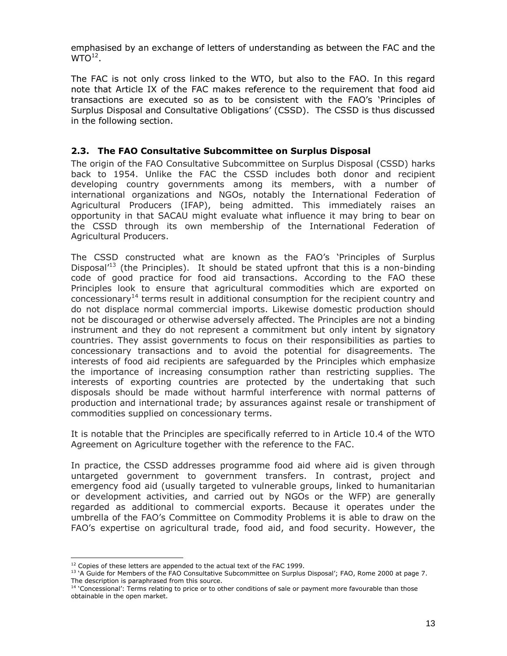emphasised by an exchange of letters of understanding as between the FAC and the  $WTO<sup>12</sup>$ .

The FAC is not only cross linked to the WTO, but also to the FAO. In this regard note that Article IX of the FAC makes reference to the requirement that food aid transactions are executed so as to be consistent with the FAO's 'Principles of Surplus Disposal and Consultative Obligations' (CSSD). The CSSD is thus discussed in the following section.

### **2.3. The FAO Consultative Subcommittee on Surplus Disposal**

The origin of the FAO Consultative Subcommittee on Surplus Disposal (CSSD) harks back to 1954. Unlike the FAC the CSSD includes both donor and recipient developing country governments among its members, with a number of international organizations and NGOs, notably the International Federation of Agricultural Producers (IFAP), being admitted. This immediately raises an opportunity in that SACAU might evaluate what influence it may bring to bear on the CSSD through its own membership of the International Federation of Agricultural Producers.

The CSSD constructed what are known as the FAO's 'Principles of Surplus Disposal<sup> $13$ </sup> (the Principles). It should be stated upfront that this is a non-binding code of good practice for food aid transactions. According to the FAO these Principles look to ensure that agricultural commodities which are exported on  $\frac{1}{4}$  concessionary<sup>14</sup> terms result in additional consumption for the recipient country and do not displace normal commercial imports. Likewise domestic production should not be discouraged or otherwise adversely affected. The Principles are not a binding instrument and they do not represent a commitment but only intent by signatory countries. They assist governments to focus on their responsibilities as parties to concessionary transactions and to avoid the potential for disagreements. The interests of food aid recipients are safeguarded by the Principles which emphasize the importance of increasing consumption rather than restricting supplies. The interests of exporting countries are protected by the undertaking that such disposals should be made without harmful interference with normal patterns of production and international trade; by assurances against resale or transhipment of commodities supplied on concessionary terms.

It is notable that the Principles are specifically referred to in Article 10.4 of the WTO Agreement on Agriculture together with the reference to the FAC.

In practice, the CSSD addresses programme food aid where aid is given through untargeted government to government transfers. In contrast, project and emergency food aid (usually targeted to vulnerable groups, linked to humanitarian or development activities, and carried out by NGOs or the WFP) are generally regarded as additional to commercial exports. Because it operates under the umbrella of the FAO's Committee on Commodity Problems it is able to draw on the FAO's expertise on agricultural trade, food aid, and food security. However, the

 $12$  Copies of these letters are appended to the actual text of the FAC 1999.

<sup>&</sup>lt;sup>13</sup> 'A Guide for Members of the FAO Consultative Subcommittee on Surplus Disposal'; FAO, Rome 2000 at page 7. The description is paraphrased from this source.

<sup>&</sup>lt;sup>14</sup> 'Concessional': Terms relating to price or to other conditions of sale or payment more favourable than those [obtainable in the open market.](http://www.igc.org.uk/en/aboutus/pressreleases/prfac.aspx)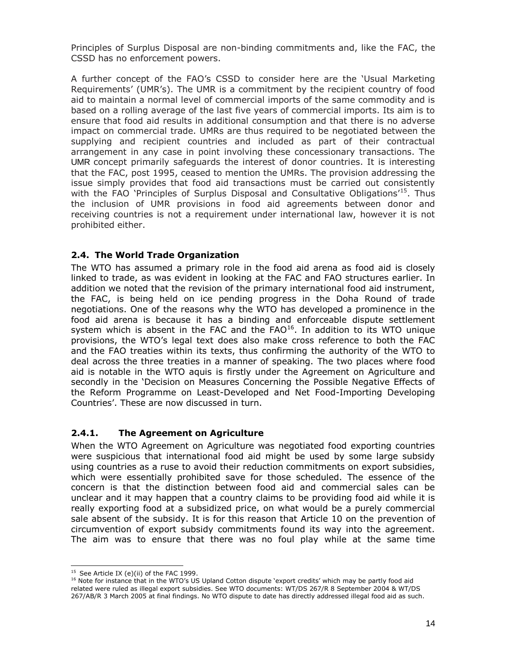Principles of Surplus Disposal are non-binding commitments and, like the FAC, the CSSD has no enforcement powers.

A further concept of the FAO's CSSD to consider here are the 'Usual Marketing Requirements' (UMR's). The UMR is a commitment by the recipient country of food aid to maintain a normal level of commercial imports of the same commodity and is based on a rolling average of the last five years of commercial imports. Its aim is to ensure that food aid results in additional consumption and that there is no adverse impact on commercial trade. UMRs are thus required to be negotiated between the supplying and recipient countries and included as part of their contractual arrangement in any case in point involving these concessionary transactions. The UMR concept primarily safeguards the interest of donor countries. It is interesting that the FAC, post 1995, ceased to mention the UMRs. The provision addressing the issue simply provides that food aid transactions must be carried out consistently with the FAO 'Principles of Surplus Disposal and Consultative Obligations<sup>15</sup>. Thus the inclusion of UMR provisions in food aid agreements between donor and receiving countries is not a requirement under international law, however it is not prohibited either.

#### **2.4. The World Trade Organization**

The WTO has assumed a primary role in the food aid arena as food aid is closely linked to trade, as was evident in looking at the FAC and FAO structures earlier. In addition we noted that the revision of the primary international food aid instrument, the FAC, is being held on ice pending progress in the Doha Round of trade negotiations. One of the reasons why the WTO has developed a prominence in the food aid arena is because it has a binding and enforceable dispute settlement system which is absent in the FAC and the FAO $^{16}$ . In addition to its WTO unique provisions, the WTO's legal text does also make cross reference to both the FAC and the FAO treaties within its texts, thus confirming the authority of the WTO to deal across the three treaties in a manner of speaking. The two places where food aid is notable in the WTO aquis is firstly under the Agreement on Agriculture and secondly in the 'Decision on Measures Concerning the Possible Negative Effects of the Reform Programme on Least-Developed and Net Food-Importing Developing Countries'. These are now discussed in turn.

#### **2.4.1. The Agreement on Agriculture**

When the WTO Agreement on Agriculture was negotiated food exporting countries were suspicious that international food aid might be used by some large subsidy using countries as a ruse to avoid their reduction commitments on export subsidies, which were essentially prohibited save for those scheduled. The essence of the concern is that the distinction between food aid and commercial sales can be unclear and it may happen that a country claims to be providing food aid while it is really exporting food at a subsidized price, on what would be a purely commercial sale absent of the subsidy. It is for this reason that Article 10 on the prevention of circumvention of export subsidy commitments found its way into the agreement. The aim was to ensure that there was no foul play while at the same time

<sup>16</sup> Note for instance that in the WTO's US Upland Cotton dispute 'export credits' which may be partly food aid related were ruled as illegal export subsidies. See WTO documents: WT/DS 267/R 8 September 2004 & WT/DS 267/AB/R 3 March 2005 at final findings. No WTO dispute to date has directly addressed illegal food aid as such.

 $15$  See Article IX (e)(ii) of the FAC 1999.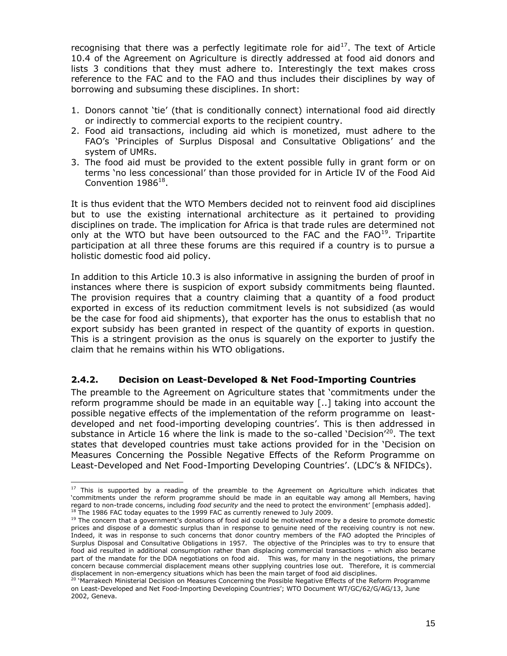recognising that there was a perfectly legitimate role for  $aid^{17}$ . The text of Article 10.4 of the Agreement on Agriculture is directly addressed at food aid donors and lists 3 conditions that they must adhere to. Interestingly the text makes cross reference to the FAC and to the FAO and thus includes their disciplines by way of borrowing and subsuming these disciplines. In short:

- 1. Donors cannot 'tie' (that is conditionally connect) international food aid directly or indirectly to commercial exports to the recipient country.
- 2. Food aid transactions, including aid which is monetized, must adhere to the FAO's 'Principles of Surplus Disposal and Consultative Obligations' and the system of UMRs.
- 3. The food aid must be provided to the extent possible fully in grant form or on terms 'no less concessional' than those provided for in Article IV of the Food Aid Convention  $1986^{18}$ .

It is thus evident that the WTO Members decided not to reinvent food aid disciplines but to use the existing international architecture as it pertained to providing disciplines on trade. The implication for Africa is that trade rules are determined not only at the WTO but have been outsourced to the FAC and the  $FAO<sup>19</sup>$ . Tripartite participation at all three these forums are this required if a country is to pursue a holistic domestic food aid policy.

In addition to this Article 10.3 is also informative in assigning the burden of proof in instances where there is suspicion of export subsidy commitments being flaunted. The provision requires that a country claiming that a quantity of a food product exported in excess of its reduction commitment levels is not subsidized (as would be the case for food aid shipments), that exporter has the onus to establish that no export subsidy has been granted in respect of the quantity of exports in question. This is a stringent provision as the onus is squarely on the exporter to justify the claim that he remains within his WTO obligations.

#### **2.4.2. Decision on Least-Developed & Net Food-Importing Countries**

The preamble to the Agreement on Agriculture states that 'commitments under the reform programme should be made in an equitable way [..] taking into account the possible negative effects of the implementation of the reform programme on leastdeveloped and net food-importing developing countries'. This is then addressed in substance in Article 16 where the link is made to the so-called 'Decision'<sup>20</sup>. The text states that developed countries must take actions provided for in the 'Decision on Measures Concerning the Possible Negative Effects of the Reform Programme on Least-Developed and Net Food-Importing Developing Countries'. (LDC's & NFIDCs).

<sup>&</sup>lt;sup>17</sup> This is supported by a reading of the preamble to the Agreement on Agriculture which indicates that 'commitments under the reform programme should be made in an equitable way among all Members, having regard to non-trade concerns, including *food security* and the need to protect the environment' [emphasis added].  $18$  The 1986 FAC today equates to the 1999 FAC as currently renewed to July 2009.

 $19$  The concern that a government's donations of food aid could be motivated more by a desire to promote domestic prices and dispose of a domestic surplus than in response to genuine need of the receiving country is not new. Indeed, it was in response to such concerns that donor country members of the FAO adopted the Principles of Surplus Disposal and Consultative Obligations in 1957. The objective of the Principles was to try to ensure that food aid resulted in additional consumption rather than displacing commercial transactions – which also became part of the mandate for the DDA negotiations on food aid. This was, for many in the negotiations, the primary concern because commercial displacement means other supplying countries lose out. Therefore, it is commercial displacement in non-emergency situations which has been the main target of food aid disciplines.

<sup>20</sup> 'Marrakech Ministerial Decision on Measures Concerning the Possible Negative Effects of the Reform Programme on Least-Developed and Net Food-Importing Developing Countries'; WTO Document WT/GC/62/G/AG/13, June 2002, Geneva.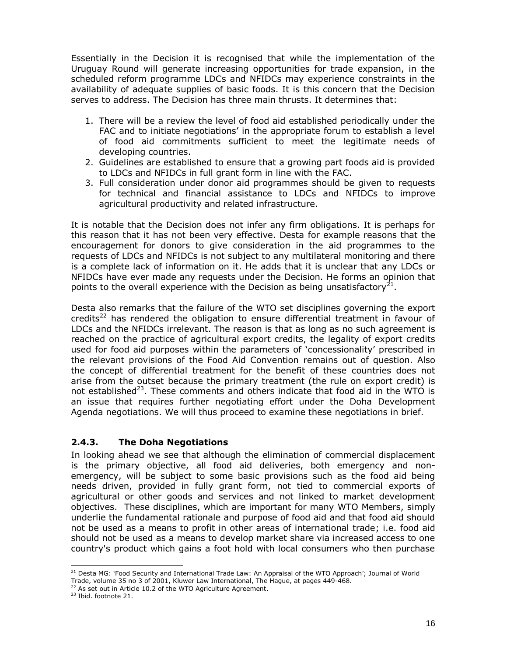Essentially in the Decision it is recognised that while the implementation of the Uruguay Round will generate increasing opportunities for trade expansion, in the scheduled reform programme LDCs and NFIDCs may experience constraints in the availability of adequate supplies of basic foods. It is this concern that the Decision serves to address. The Decision has three main thrusts. It determines that:

- 1. There will be a review the level of food aid established periodically under the FAC and to initiate negotiations' in the appropriate forum to establish a level of food aid commitments sufficient to meet the legitimate needs of developing countries.
- 2. Guidelines are established to ensure that a growing part foods aid is provided to LDCs and NFIDCs in full grant form in line with the FAC.
- 3. Full consideration under donor aid programmes should be given to requests for technical and financial assistance to LDCs and NFIDCs to improve agricultural productivity and related infrastructure.

It is notable that the Decision does not infer any firm obligations. It is perhaps for this reason that it has not been very effective. Desta for example reasons that the encouragement for donors to give consideration in the aid programmes to the requests of LDCs and NFIDCs is not subject to any multilateral monitoring and there is a complete lack of information on it. He adds that it is unclear that any LDCs or NFIDCs have ever made any requests under the Decision. He forms an opinion that points to the overall experience with the Decision as being unsatisfactory<sup>21</sup>.

Desta also remarks that the failure of the WTO set disciplines governing the export credits<sup>22</sup> has rendered the obligation to ensure differential treatment in favour of LDCs and the NFIDCs irrelevant. The reason is that as long as no such agreement is reached on the practice of agricultural export credits, the legality of export credits used for food aid purposes within the parameters of 'concessionality' prescribed in the relevant provisions of the Food Aid Convention remains out of question. Also the concept of differential treatment for the benefit of these countries does not arise from the outset because the primary treatment (the rule on export credit) is not established<sup>23</sup>. These comments and others indicate that food aid in the WTO is an issue that requires further negotiating effort under the Doha Development Agenda negotiations. We will thus proceed to examine these negotiations in brief.

### **2.4.3. The Doha Negotiations**

In looking ahead we see that although the elimination of commercial displacement is the primary objective, all food aid deliveries, both emergency and nonemergency, will be subject to some basic provisions such as the food aid being needs driven, provided in fully grant form, not tied to commercial exports of agricultural or other goods and services and not linked to market development objectives. These disciplines, which are important for many WTO Members, simply underlie the fundamental rationale and purpose of food aid and that food aid should not be used as a means to profit in other areas of international trade; i.e. food aid should not be used as a means to develop market share via increased access to one country's product which gains a foot hold with local consumers who then purchase

<sup>&</sup>lt;sup>21</sup> Desta MG: 'Food Security and International Trade Law: An Appraisal of the WTO Approach'; Journal of World Trade, volume 35 no 3 of 2001, Kluwer Law International, The Hague, at pages 449-468.

<sup>&</sup>lt;sup>22</sup> As set out in Article 10.2 of the WTO Agriculture Agreement.

<sup>&</sup>lt;sup>23</sup> Ibid. footnote 21.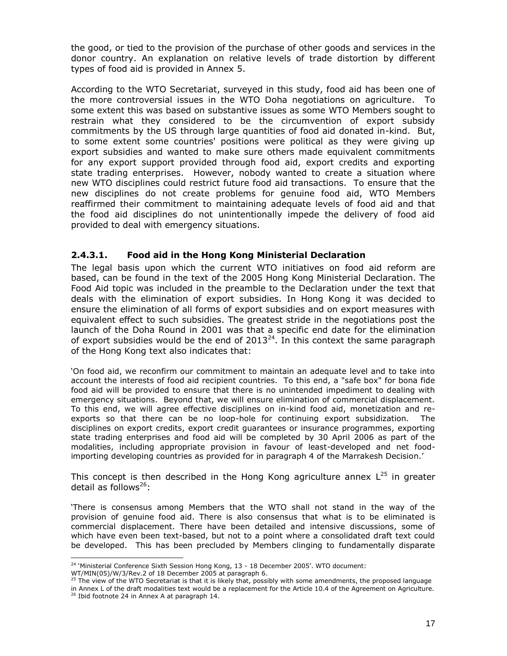the good, or tied to the provision of the purchase of other goods and services in the donor country. An explanation on relative levels of trade distortion by different types of food aid is provided in Annex 5.

According to the WTO Secretariat, surveyed in this study, food aid has been one of the more controversial issues in the WTO Doha negotiations on agriculture. To some extent this was based on substantive issues as some WTO Members sought to restrain what they considered to be the circumvention of export subsidy commitments by the US through large quantities of food aid donated in-kind. But, to some extent some countries' positions were political as they were giving up export subsidies and wanted to make sure others made equivalent commitments for any export support provided through food aid, export credits and exporting state trading enterprises. However, nobody wanted to create a situation where new WTO disciplines could restrict future food aid transactions. To ensure that the new disciplines do not create problems for genuine food aid, WTO Members reaffirmed their commitment to maintaining adequate levels of food aid and that the food aid disciplines do not unintentionally impede the delivery of food aid provided to deal with emergency situations.

#### **2.4.3.1. Food aid in the Hong Kong Ministerial Declaration**

The legal basis upon which the current WTO initiatives on food aid reform are based, can be found in the text of the 2005 Hong Kong Ministerial Declaration. The Food Aid topic was included in the preamble to the Declaration under the text that deals with the elimination of export subsidies. In Hong Kong it was decided to ensure the elimination of all forms of export subsidies and on export measures with equivalent effect to such subsidies. The greatest stride in the negotiations post the launch of the Doha Round in 2001 was that a specific end date for the elimination of export subsidies would be the end of  $2013^{24}$ . In this context the same paragraph of the Hong Kong text also indicates that:

'On food aid, we reconfirm our commitment to maintain an adequate level and to take into account the interests of food aid recipient countries. To this end, a "safe box" for bona fide food aid will be provided to ensure that there is no unintended impediment to dealing with emergency situations. Beyond that, we will ensure elimination of commercial displacement. To this end, we will agree effective disciplines on in-kind food aid, monetization and reexports so that there can be no loop-hole for continuing export subsidization. The disciplines on export credits, export credit guarantees or insurance programmes, exporting state trading enterprises and food aid will be completed by 30 April 2006 as part of the modalities, including appropriate provision in favour of least-developed and net foodimporting developing countries as provided for in paragraph 4 of the Marrakesh Decision.'

This concept is then described in the Hong Kong agriculture annex  $L^{25}$  in greater detail as follows $26$ :

'There is consensus among Members that the WTO shall not stand in the way of the provision of genuine food aid. There is also consensus that what is to be eliminated is commercial displacement. There have been detailed and intensive discussions, some of which have even been text-based, but not to a point where a consolidated draft text could be developed. This has been precluded by Members clinging to fundamentally disparate

<sup>&</sup>lt;sup>24</sup> 'Ministerial Conference Sixth Session Hong Kong, 13 - 18 December 2005'. WTO document:

WT/MIN(05)/W/3/Rev.2 of 18 December 2005 at paragraph 6.

<sup>25</sup> The view of the WTO Secretariat is that it is likely that, possibly with some amendments, the proposed language

in Annex L of the draft modalities text would be a replacement for the Article 10.4 of the Agreement on Agriculture. <sup>26</sup> Ibid footnote 24 in Annex A at paragraph 14.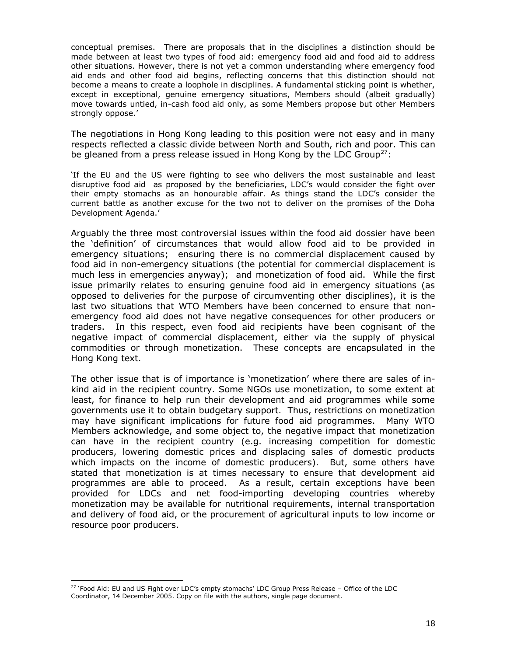conceptual premises. There are proposals that in the disciplines a distinction should be made between at least two types of food aid: emergency food aid and food aid to address other situations. However, there is not yet a common understanding where emergency food aid ends and other food aid begins, reflecting concerns that this distinction should not become a means to create a loophole in disciplines. A fundamental sticking point is whether, except in exceptional, genuine emergency situations, Members should (albeit gradually) move towards untied, in-cash food aid only, as some Members propose but other Members strongly oppose.'

The negotiations in Hong Kong leading to this position were not easy and in many respects reflected a classic divide between North and South, rich and poor. This can be gleaned from a press release issued in Hong Kong by the LDC Group<sup>27</sup>:

'If the EU and the US were fighting to see who delivers the most sustainable and least disruptive food aid as proposed by the beneficiaries, LDC's would consider the fight over their empty stomachs as an honourable affair. As things stand the LDC's consider the current battle as another excuse for the two not to deliver on the promises of the Doha Development Agenda.'

Arguably the three most controversial issues within the food aid dossier have been the 'definition' of circumstances that would allow food aid to be provided in emergency situations; ensuring there is no commercial displacement caused by food aid in non-emergency situations (the potential for commercial displacement is much less in emergencies anyway); and monetization of food aid. While the first issue primarily relates to ensuring genuine food aid in emergency situations (as opposed to deliveries for the purpose of circumventing other disciplines), it is the last two situations that WTO Members have been concerned to ensure that nonemergency food aid does not have negative consequences for other producers or traders. In this respect, even food aid recipients have been cognisant of the negative impact of commercial displacement, either via the supply of physical commodities or through monetization. These concepts are encapsulated in the Hong Kong text.

The other issue that is of importance is 'monetization' where there are sales of inkind aid in the recipient country. Some NGOs use monetization, to some extent at least, for finance to help run their development and aid programmes while some governments use it to obtain budgetary support. Thus, restrictions on monetization may have significant implications for future food aid programmes. Many WTO Members acknowledge, and some object to, the negative impact that monetization can have in the recipient country (e.g. increasing competition for domestic producers, lowering domestic prices and displacing sales of domestic products which impacts on the income of domestic producers). But, some others have stated that monetization is at times necessary to ensure that development aid programmes are able to proceed. As a result, certain exceptions have been provided for LDCs and net food-importing developing countries whereby monetization may be available for nutritional requirements, internal transportation and delivery of food aid, or the procurement of agricultural inputs to low income or resource poor producers.

<sup>&</sup>lt;sup>27</sup> 'Food Aid: EU and US Fight over LDC's empty stomachs' LDC Group Press Release - Office of the LDC Coordinator, 14 December 2005. Copy on file with the authors, single page document.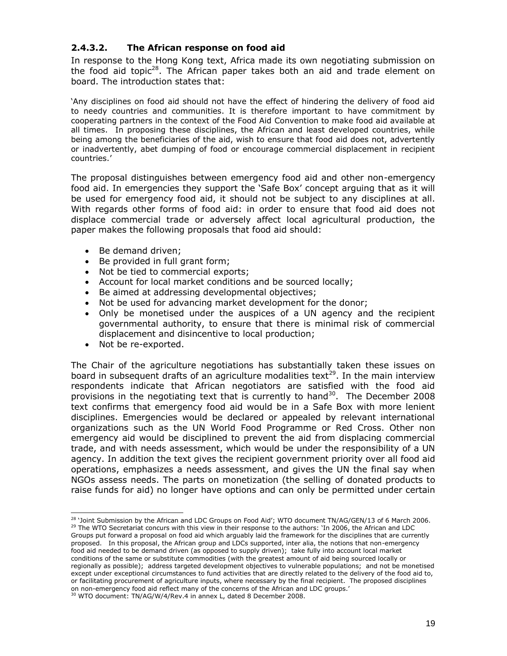#### **2.4.3.2. The African response on food aid**

In response to the Hong Kong text, Africa made its own negotiating submission on the food aid topic<sup>28</sup>. The African paper takes both an aid and trade element on board. The introduction states that:

'Any disciplines on food aid should not have the effect of hindering the delivery of food aid to needy countries and communities. It is therefore important to have commitment by cooperating partners in the context of the Food Aid Convention to make food aid available at all times. In proposing these disciplines, the African and least developed countries, while being among the beneficiaries of the aid, wish to ensure that food aid does not, advertently or inadvertently, abet dumping of food or encourage commercial displacement in recipient countries.'

The proposal distinguishes between emergency food aid and other non-emergency food aid. In emergencies they support the 'Safe Box' concept arguing that as it will be used for emergency food aid, it should not be subject to any disciplines at all. With regards other forms of food aid: in order to ensure that food aid does not displace commercial trade or adversely affect local agricultural production, the paper makes the following proposals that food aid should:

- Be demand driven;
- Be provided in full grant form;
- Not be tied to commercial exports;
- Account for local market conditions and be sourced locally;
- Be aimed at addressing developmental objectives;
- Not be used for advancing market development for the donor;
- Only be monetised under the auspices of a UN agency and the recipient governmental authority, to ensure that there is minimal risk of commercial displacement and disincentive to local production;
- Not be re-exported.

The Chair of the agriculture negotiations has substantially taken these issues on board in subsequent drafts of an agriculture modalities text<sup>29</sup>. In the main interview respondents indicate that African negotiators are satisfied with the food aid provisions in the negotiating text that is currently to hand<sup>30</sup>. The December 2008 text confirms that emergency food aid would be in a Safe Box with more lenient disciplines. Emergencies would be declared or appealed by relevant international organizations such as the UN World Food Programme or Red Cross. Other non emergency aid would be disciplined to prevent the aid from displacing commercial trade, and with needs assessment, which would be under the responsibility of a UN agency. In addition the text gives the recipient government priority over all food aid operations, emphasizes a needs assessment, and gives the UN the final say when NGOs assess needs. The parts on monetization (the selling of donated products to raise funds for aid) no longer have options and can only be permitted under certain

<sup>&</sup>lt;sup>28</sup> 'Joint Submission by the African and LDC Groups on Food Aid'; WTO document TN/AG/GEN/13 of 6 March 2006. <sup>29</sup> The WTO Secretariat concurs with this view in their response to the authors: 'In 2006, the African and LDC Groups put forward a proposal on food aid which arguably laid the framework for the disciplines that are currently proposed. In this proposal, the African group and LDCs supported, inter alia, the notions that non-emergency food aid needed to be demand driven (as opposed to supply driven); take fully into account local market conditions of the same or substitute commodities (with the greatest amount of aid being sourced locally or regionally as possible); address targeted development objectives to vulnerable populations; and not be monetised except under exceptional circumstances to fund activities that are directly related to the delivery of the food aid to, or facilitating procurement of agriculture inputs, where necessary by the final recipient. The proposed disciplines on non-emergency food aid reflect many of the concerns of the African and LDC groups.' <sup>30</sup> WTO document: TN/AG/W/4/Rev.4 in annex L, dated 8 December 2008.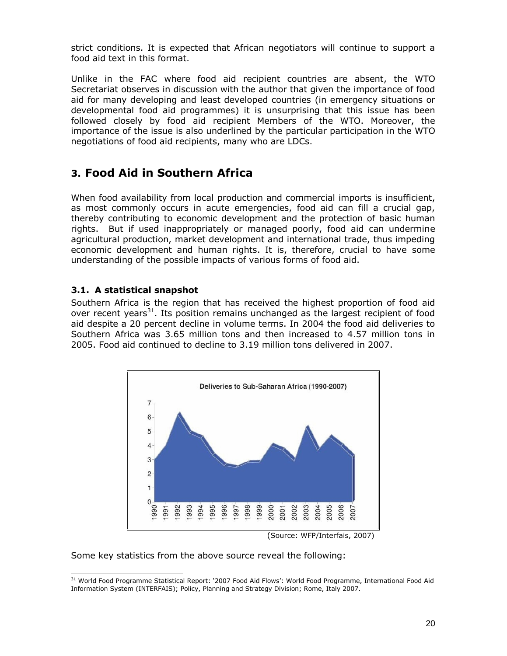strict conditions. It is expected that African negotiators will continue to support a food aid text in this format.

Unlike in the FAC where food aid recipient countries are absent, the WTO Secretariat observes in discussion with the author that given the importance of food aid for many developing and least developed countries (in emergency situations or developmental food aid programmes) it is unsurprising that this issue has been followed closely by food aid recipient Members of the WTO. Moreover, the importance of the issue is also underlined by the particular participation in the WTO negotiations of food aid recipients, many who are LDCs.

# **3. Food Aid in Southern Africa**

When food availability from local production and commercial imports is insufficient, as most commonly occurs in acute emergencies, food aid can fill a crucial gap, thereby contributing to economic development and the protection of basic human rights. But if used inappropriately or managed poorly, food aid can undermine agricultural production, market development and international trade, thus impeding economic development and human rights. It is, therefore, crucial to have some understanding of the possible impacts of various forms of food aid.

#### **3.1. A statistical snapshot**

Southern Africa is the region that has received the highest proportion of food aid over recent years<sup>31</sup>. Its position remains unchanged as the largest recipient of food aid despite a 20 percent decline in volume terms. In 2004 the food aid deliveries to Southern Africa was 3.65 million tons and then increased to 4.57 million tons in 2005. Food aid continued to decline to 3.19 million tons delivered in 2007.



(Source: WFP/Interfais, 2007)

Some key statistics from the above source reveal the following:

<sup>&</sup>lt;sup>31</sup> World Food Programme Statistical Report: '2007 Food Aid Flows': World Food Programme, International Food Aid Information System (INTERFAIS); Policy, Planning and Strategy Division; Rome, Italy 2007.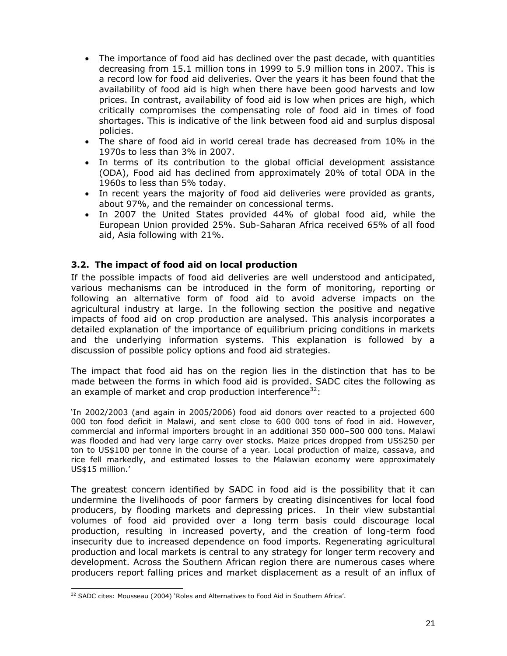- The importance of food aid has declined over the past decade, with quantities decreasing from 15.1 million tons in 1999 to 5.9 million tons in 2007. This is a record low for food aid deliveries. Over the years it has been found that the availability of food aid is high when there have been good harvests and low prices. In contrast, availability of food aid is low when prices are high, which critically compromises the compensating role of food aid in times of food shortages. This is indicative of the link between food aid and surplus disposal policies.
- The share of food aid in world cereal trade has decreased from 10% in the 1970s to less than 3% in 2007.
- In terms of its contribution to the global official development assistance (ODA), Food aid has declined from approximately 20% of total ODA in the 1960s to less than 5% today.
- In recent years the majority of food aid deliveries were provided as grants, about 97%, and the remainder on concessional terms.
- In 2007 the United States provided 44% of global food aid, while the European Union provided 25%. Sub-Saharan Africa received 65% of all food aid, Asia following with 21%.

#### **3.2. The impact of food aid on local production**

If the possible impacts of food aid deliveries are well understood and anticipated, various mechanisms can be introduced in the form of monitoring, reporting or following an alternative form of food aid to avoid adverse impacts on the agricultural industry at large. In the following section the positive and negative impacts of food aid on crop production are analysed. This analysis incorporates a detailed explanation of the importance of equilibrium pricing conditions in markets and the underlying information systems. This explanation is followed by a discussion of possible policy options and food aid strategies.

The impact that food aid has on the region lies in the distinction that has to be made between the forms in which food aid is provided. SADC cites the following as an example of market and crop production interference<sup>32</sup>:

'In 2002/2003 (and again in 2005/2006) food aid donors over reacted to a projected 600 000 ton food deficit in Malawi, and sent close to 600 000 tons of food in aid. However, commercial and informal importers brought in an additional 350 000–500 000 tons. Malawi was flooded and had very large carry over stocks. Maize prices dropped from US\$250 per ton to US\$100 per tonne in the course of a year. Local production of maize, cassava, and rice fell markedly, and estimated losses to the Malawian economy were approximately US\$15 million.'

The greatest concern identified by SADC in food aid is the possibility that it can undermine the livelihoods of poor farmers by creating disincentives for local food producers, by flooding markets and depressing prices. In their view substantial volumes of food aid provided over a long term basis could discourage local production, resulting in increased poverty, and the creation of long-term food insecurity due to increased dependence on food imports. Regenerating agricultural production and local markets is central to any strategy for longer term recovery and development. Across the Southern African region there are numerous cases where producers report falling prices and market displacement as a result of an influx of

<sup>&</sup>lt;sup>32</sup> SADC cites: Mousseau (2004) 'Roles and Alternatives to Food Aid in Southern Africa'.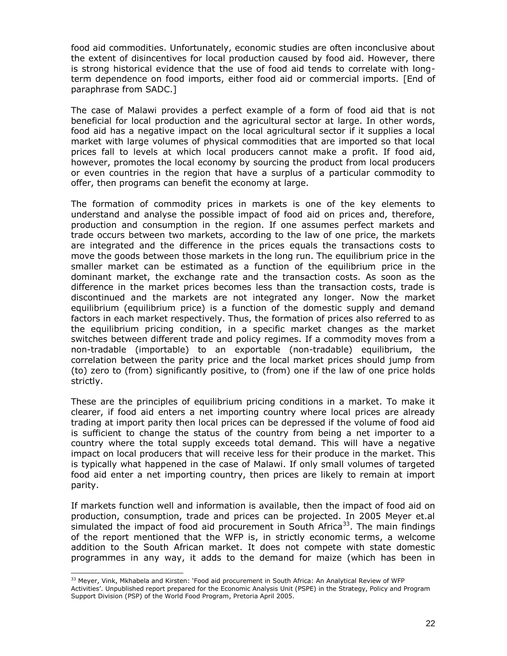food aid commodities. Unfortunately, economic studies are often inconclusive about the extent of disincentives for local production caused by food aid. However, there is strong historical evidence that the use of food aid tends to correlate with longterm dependence on food imports, either food aid or commercial imports. [End of paraphrase from SADC.]

The case of Malawi provides a perfect example of a form of food aid that is not beneficial for local production and the agricultural sector at large. In other words, food aid has a negative impact on the local agricultural sector if it supplies a local market with large volumes of physical commodities that are imported so that local prices fall to levels at which local producers cannot make a profit. If food aid, however, promotes the local economy by sourcing the product from local producers or even countries in the region that have a surplus of a particular commodity to offer, then programs can benefit the economy at large.

The formation of commodity prices in markets is one of the key elements to understand and analyse the possible impact of food aid on prices and, therefore, production and consumption in the region. If one assumes perfect markets and trade occurs between two markets, according to the law of one price, the markets are integrated and the difference in the prices equals the transactions costs to move the goods between those markets in the long run. The equilibrium price in the smaller market can be estimated as a function of the equilibrium price in the dominant market, the exchange rate and the transaction costs. As soon as the difference in the market prices becomes less than the transaction costs, trade is discontinued and the markets are not integrated any longer. Now the market equilibrium (equilibrium price) is a function of the domestic supply and demand factors in each market respectively. Thus, the formation of prices also referred to as the equilibrium pricing condition, in a specific market changes as the market switches between different trade and policy regimes. If a commodity moves from a non-tradable (importable) to an exportable (non-tradable) equilibrium, the correlation between the parity price and the local market prices should jump from (to) zero to (from) significantly positive, to (from) one if the law of one price holds strictly.

These are the principles of equilibrium pricing conditions in a market. To make it clearer, if food aid enters a net importing country where local prices are already trading at import parity then local prices can be depressed if the volume of food aid is sufficient to change the status of the country from being a net importer to a country where the total supply exceeds total demand. This will have a negative impact on local producers that will receive less for their produce in the market. This is typically what happened in the case of Malawi. If only small volumes of targeted food aid enter a net importing country, then prices are likely to remain at import parity.

If markets function well and information is available, then the impact of food aid on production, consumption, trade and prices can be projected. In 2005 Meyer et.al simulated the impact of food aid procurement in South Africa<sup>33</sup>. The main findings of the report mentioned that the WFP is, in strictly economic terms, a welcome addition to the South African market. It does not compete with state domestic programmes in any way, it adds to the demand for maize (which has been in

<sup>&</sup>lt;sup>33</sup> Meyer, Vink, Mkhabela and Kirsten: 'Food aid procurement in South Africa: An Analytical Review of WFP Activities'. Unpublished report prepared for the Economic Analysis Unit (PSPE) in the Strategy, Policy and Program Support Division (PSP) of the World Food Program, Pretoria April 2005.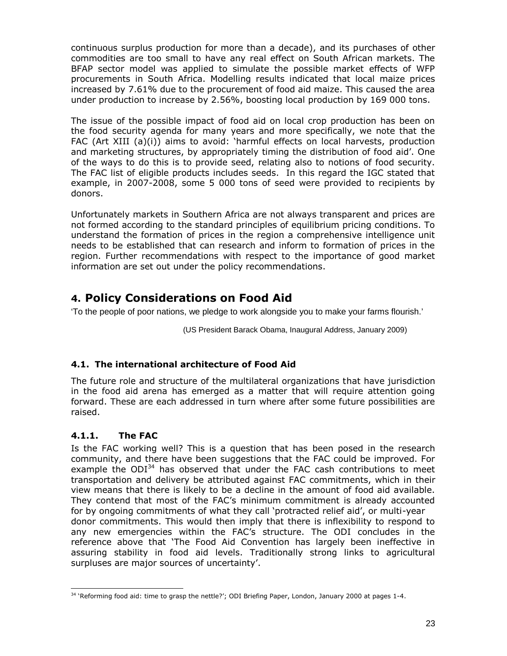continuous surplus production for more than a decade), and its purchases of other commodities are too small to have any real effect on South African markets. The BFAP sector model was applied to simulate the possible market effects of WFP procurements in South Africa. Modelling results indicated that local maize prices increased by 7.61% due to the procurement of food aid maize. This caused the area under production to increase by 2.56%, boosting local production by 169 000 tons.

The issue of the possible impact of food aid on local crop production has been on the food security agenda for many years and more specifically, we note that the FAC (Art XIII (a)(i)) aims to avoid: 'harmful effects on local harvests, production and marketing structures, by appropriately timing the distribution of food aid'. One of the ways to do this is to provide seed, relating also to notions of food security. The FAC list of eligible products includes seeds. In this regard the IGC stated that example, in 2007-2008, some 5 000 tons of seed were provided to recipients by donors.

Unfortunately markets in Southern Africa are not always transparent and prices are not formed according to the standard principles of equilibrium pricing conditions. To understand the formation of prices in the region a comprehensive intelligence unit needs to be established that can research and inform to formation of prices in the region. Further recommendations with respect to the importance of good market information are set out under the policy recommendations.

# **4. Policy Considerations on Food Aid**

'To the people of poor nations, we pledge to work alongside you to make your farms flourish.'

(US President Barack Obama, Inaugural Address, January 2009)

### **4.1. The international architecture of Food Aid**

The future role and structure of the multilateral organizations that have jurisdiction in the food aid arena has emerged as a matter that will require attention going forward. These are each addressed in turn where after some future possibilities are raised.

## **4.1.1. The FAC**

Is the FAC working well? This is a question that has been posed in the research community, and there have been suggestions that the FAC could be improved. For example the  $ODI<sup>34</sup>$  has observed that under the FAC cash contributions to meet transportation and delivery be attributed against FAC commitments, which in their view means that there is likely to be a decline in the amount of food aid available. They contend that most of the FAC's minimum commitment is already accounted for by ongoing commitments of what they call 'protracted relief aid', or multi-year donor commitments. This would then imply that there is inflexibility to respond to any new emergencies within the FAC's structure. The ODI concludes in the reference above that 'The Food Aid Convention has largely been ineffective in assuring stability in food aid levels. Traditionally strong links to agricultural surpluses are major sources of uncertainty'.

<sup>&</sup>lt;sup>34</sup> 'Reforming food aid: time to grasp the nettle?'; ODI Briefing Paper, London, January 2000 at pages 1-4.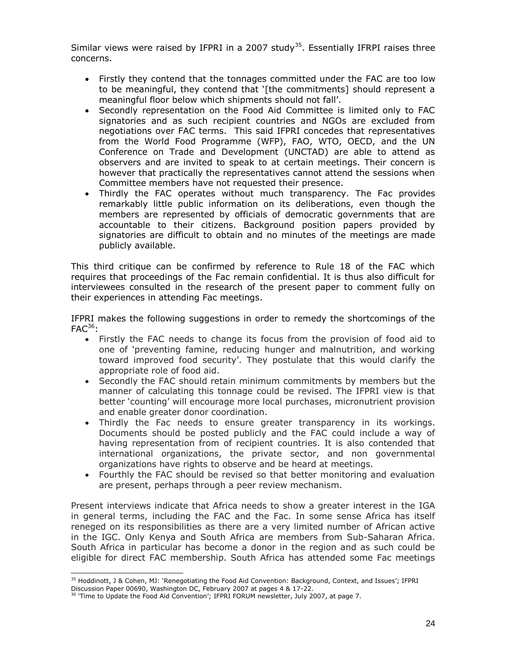Similar views were raised by IFPRI in a 2007 study<sup>35</sup>. Essentially IFRPI raises three concerns.

- Firstly they contend that the tonnages committed under the FAC are too low to be meaningful, they contend that '[the commitments] should represent a meaningful floor below which shipments should not fall'.
- Secondly representation on the Food Aid Committee is limited only to FAC signatories and as such recipient countries and NGOs are excluded from negotiations over FAC terms. This said IFPRI concedes that representatives from the World Food Programme (WFP), FAO, WTO, OECD, and the UN Conference on Trade and Development (UNCTAD) are able to attend as observers and are invited to speak to at certain meetings. Their concern is however that practically the representatives cannot attend the sessions when Committee members have not requested their presence.
- Thirdly the FAC operates without much transparency. The Fac provides remarkably little public information on its deliberations, even though the members are represented by officials of democratic governments that are accountable to their citizens. Background position papers provided by signatories are difficult to obtain and no minutes of the meetings are made publicly available.

This third critique can be confirmed by reference to Rule 18 of the FAC which requires that proceedings of the Fac remain confidential. It is thus also difficult for interviewees consulted in the research of the present paper to comment fully on their experiences in attending Fac meetings.

IFPRI makes the following suggestions in order to remedy the shortcomings of the  $FAC^{36}$ :

- Firstly the FAC needs to change its focus from the provision of food aid to one of 'preventing famine, reducing hunger and malnutrition, and working toward improved food security'. They postulate that this would clarify the appropriate role of food aid.
- Secondly the FAC should retain minimum commitments by members but the manner of calculating this tonnage could be revised. The IFPRI view is that better 'counting' will encourage more local purchases, micronutrient provision and enable greater donor coordination.
- Thirdly the Fac needs to ensure greater transparency in its workings. Documents should be posted publicly and the FAC could include a way of having representation from of recipient countries. It is also contended that international organizations, the private sector, and non governmental organizations have rights to observe and be heard at meetings.
- Fourthly the FAC should be revised so that better monitoring and evaluation are present, perhaps through a peer review mechanism.

Present interviews indicate that Africa needs to show a greater interest in the IGA in general terms, including the FAC and the Fac. In some sense Africa has itself reneged on its responsibilities as there are a very limited number of African active in the IGC. Only Kenya and South Africa are members from Sub-Saharan Africa. South Africa in particular has become a donor in the region and as such could be eligible for direct FAC membership. South Africa has attended some Fac meetings

<sup>&</sup>lt;sup>35</sup> Hoddinott, J & Cohen, MJ: 'Renegotiating the Food Aid Convention: Background, Context, and Issues'; IFPRI Discussion Paper 00690, Washington DC, February 2007 at pages 4 & 17-22.

<sup>&</sup>lt;sup>36</sup> 'Time to Update the Food Aid Convention'; IFPRI FORUM newsletter, July 2007, at page 7.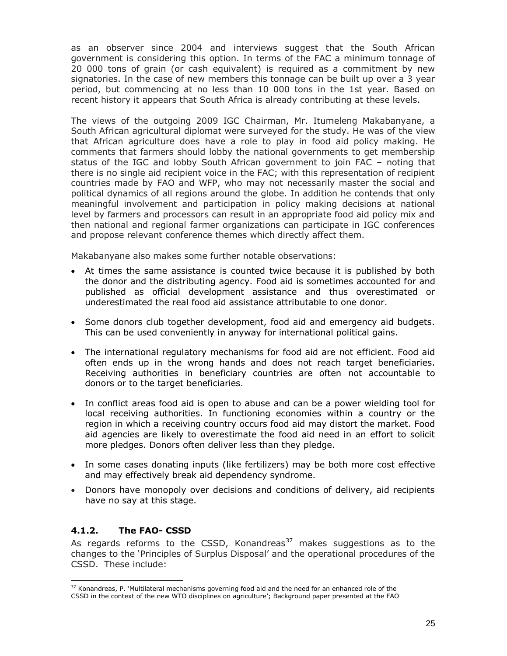as an observer since 2004 and interviews suggest that the South African government is considering this option. In terms of the FAC a minimum tonnage of 20 000 tons of grain (or cash equivalent) is required as a commitment by new signatories. In the case of new members this tonnage can be built up over a 3 year period, but commencing at no less than 10 000 tons in the 1st year. Based on recent history it appears that South Africa is already contributing at these levels.

The views of the outgoing 2009 IGC Chairman, Mr. Itumeleng Makabanyane, a South African agricultural diplomat were surveyed for the study. He was of the view that African agriculture does have a role to play in food aid policy making. He comments that farmers should lobby the national governments to get membership status of the IGC and lobby South African government to join FAC – noting that there is no single aid recipient voice in the FAC; with this representation of recipient countries made by FAO and WFP, who may not necessarily master the social and political dynamics of all regions around the globe. In addition he contends that only meaningful involvement and participation in policy making decisions at national level by farmers and processors can result in an appropriate food aid policy mix and then national and regional farmer organizations can participate in IGC conferences and propose relevant conference themes which directly affect them.

Makabanyane also makes some further notable observations:

- At times the same assistance is counted twice because it is published by both the donor and the distributing agency. Food aid is sometimes accounted for and published as official development assistance and thus overestimated or underestimated the real food aid assistance attributable to one donor.
- Some donors club together development, food aid and emergency aid budgets. This can be used conveniently in anyway for international political gains.
- The international regulatory mechanisms for food aid are not efficient. Food aid often ends up in the wrong hands and does not reach target beneficiaries. Receiving authorities in beneficiary countries are often not accountable to donors or to the target beneficiaries.
- In conflict areas food aid is open to abuse and can be a power wielding tool for local receiving authorities. In functioning economies within a country or the region in which a receiving country occurs food aid may distort the market. Food aid agencies are likely to overestimate the food aid need in an effort to solicit more pledges. Donors often deliver less than they pledge.
- In some cases donating inputs (like fertilizers) may be both more cost effective and may effectively break aid dependency syndrome.
- Donors have monopoly over decisions and conditions of delivery, aid recipients have no say at this stage.

### **4.1.2. The FAO- CSSD**

As regards reforms to the CSSD, Konandreas<sup>37</sup> makes suggestions as to the changes to the 'Principles of Surplus Disposal' and the operational procedures of the CSSD. These include:

<sup>&</sup>lt;sup>37</sup> Konandreas, P. 'Multilateral mechanisms governing food aid and the need for an enhanced role of the CSSD in the context of the new WTO disciplines on agriculture'; Background paper presented at the FAO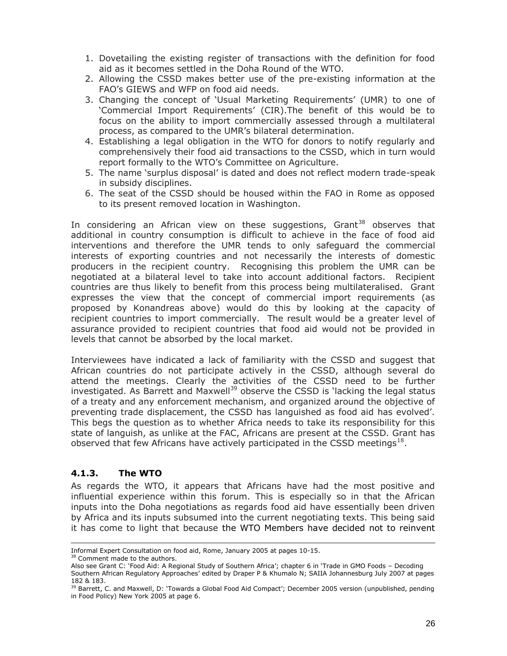- 1. Dovetailing the existing register of transactions with the definition for food aid as it becomes settled in the Doha Round of the WTO.
- 2. Allowing the CSSD makes better use of the pre-existing information at the FAO's GIEWS and WFP on food aid needs.
- 3. Changing the concept of 'Usual Marketing Requirements' (UMR) to one of 'Commercial Import Requirements' (CIR).The benefit of this would be to focus on the ability to import commercially assessed through a multilateral process, as compared to the UMR's bilateral determination.
- 4. Establishing a legal obligation in the WTO for donors to notify regularly and comprehensively their food aid transactions to the CSSD, which in turn would report formally to the WTO's Committee on Agriculture.
- 5. The name 'surplus disposal' is dated and does not reflect modern trade-speak in subsidy disciplines.
- 6. The seat of the CSSD should be housed within the FAO in Rome as opposed to its present removed location in Washington.

In considering an African view on these suggestions,  $G$ rant<sup>38</sup> observes that additional in country consumption is difficult to achieve in the face of food aid interventions and therefore the UMR tends to only safeguard the commercial interests of exporting countries and not necessarily the interests of domestic producers in the recipient country. Recognising this problem the UMR can be negotiated at a bilateral level to take into account additional factors. Recipient countries are thus likely to benefit from this process being multilateralised. Grant expresses the view that the concept of commercial import requirements (as proposed by Konandreas above) would do this by looking at the capacity of recipient countries to import commercially. The result would be a greater level of assurance provided to recipient countries that food aid would not be provided in levels that cannot be absorbed by the local market.

Interviewees have indicated a lack of familiarity with the CSSD and suggest that African countries do not participate actively in the CSSD, although several do attend the meetings. Clearly the activities of the CSSD need to be further investigated. As Barrett and Maxwell<sup>39</sup> observe the CSSD is 'lacking the legal status of a treaty and any enforcement mechanism, and organized around the objective of preventing trade displacement, the CSSD has languished as food aid has evolved'. This begs the question as to whether Africa needs to take its responsibility for this state of languish, as unlike at the FAC, Africans are present at the CSSD. Grant has observed that few Africans have actively participated in the CSSD meetings $^{18}$ .

#### **4.1.3. The WTO**

As regards the WTO, it appears that Africans have had the most positive and influential experience within this forum. This is especially so in that the African inputs into the Doha negotiations as regards food aid have essentially been driven by Africa and its inputs subsumed into the current negotiating texts. This being said it has come to light that because the WTO Members have decided not to reinvent

<sup>38</sup> Comment made to the authors.

Also see Grant C: 'Food Aid: A Regional Study of Southern Africa'; chapter 6 in 'Trade in GMO Foods – Decoding Southern African Regulatory Approaches' edited by Draper P & Khumalo N; SAIIA Johannesburg July 2007 at pages 182 & 183.

Informal Expert Consultation on food aid, Rome, January 2005 at pages 10-15.

<sup>&</sup>lt;sup>39</sup> Barrett, C. and Maxwell, D: 'Towards a Global Food Aid Compact'; December 2005 version (unpublished, pending in Food Policy) New York 2005 at page 6.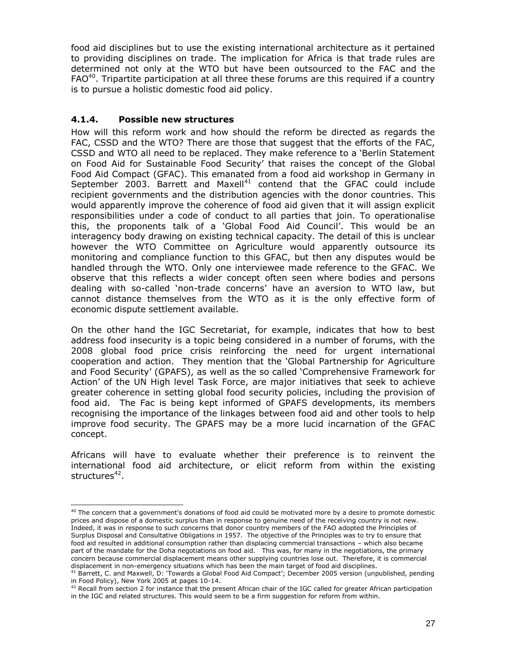food aid disciplines but to use the existing international architecture as it pertained to providing disciplines on trade. The implication for Africa is that trade rules are determined not only at the WTO but have been outsourced to the FAC and the  $FAO<sup>40</sup>$ . Tripartite participation at all three these forums are this required if a country is to pursue a holistic domestic food aid policy.

#### **4.1.4. Possible new structures**

How will this reform work and how should the reform be directed as regards the FAC, CSSD and the WTO? There are those that suggest that the efforts of the FAC, CSSD and WTO all need to be replaced. They make reference to a 'Berlin Statement on Food Aid for Sustainable Food Security' that raises the concept of the Global Food Aid Compact (GFAC). This emanated from a food aid workshop in Germany in September 2003. Barrett and Maxell<sup>41</sup> contend that the GFAC could include recipient governments and the distribution agencies with the donor countries. This would apparently improve the coherence of food aid given that it will assign explicit responsibilities under a code of conduct to all parties that join. To operationalise this, the proponents talk of a 'Global Food Aid Council'. This would be an interagency body drawing on existing technical capacity. The detail of this is unclear however the WTO Committee on Agriculture would apparently outsource its monitoring and compliance function to this GFAC, but then any disputes would be handled through the WTO. Only one interviewee made reference to the GFAC. We observe that this reflects a wider concept often seen where bodies and persons dealing with so-called 'non-trade concerns' have an aversion to WTO law, but cannot distance themselves from the WTO as it is the only effective form of economic dispute settlement available.

On the other hand the IGC Secretariat, for example, indicates that how to best address food insecurity is a topic being considered in a number of forums, with the 2008 global food price crisis reinforcing the need for urgent international cooperation and action. They mention that the 'Global Partnership for Agriculture and Food Security' (GPAFS), as well as the so called 'Comprehensive Framework for Action' of the UN High level Task Force, are major initiatives that seek to achieve greater coherence in setting global food security policies, including the provision of food aid. The Fac is being kept informed of GPAFS developments, its members recognising the importance of the linkages between food aid and other tools to help improve food security. The GPAFS may be a more lucid incarnation of the GFAC concept.

Africans will have to evaluate whether their preference is to reinvent the international food aid architecture, or elicit reform from within the existing structures<sup>42</sup>.

<sup>&</sup>lt;sup>40</sup> The concern that a government's donations of food aid could be motivated more by a desire to promote domestic prices and dispose of a domestic surplus than in response to genuine need of the receiving country is not new. Indeed, it was in response to such concerns that donor country members of the FAO adopted the Principles of Surplus Disposal and Consultative Obligations in 1957. The objective of the Principles was to try to ensure that food aid resulted in additional consumption rather than displacing commercial transactions – which also became part of the mandate for the Doha negotiations on food aid. This was, for many in the negotiations, the primary concern because commercial displacement means other supplying countries lose out. Therefore, it is commercial displacement in non-emergency situations which has been the main target of food aid disciplines.

<sup>41</sup> Barrett, C. and Maxwell, D: 'Towards a Global Food Aid Compact'; December 2005 version (unpublished, pending in Food Policy), New York 2005 at pages 10-14.

 $42$  Recall from section 2 for instance that the present African chair of the IGC called for greater African participation in the IGC and related structures. This would seem to be a firm suggestion for reform from within.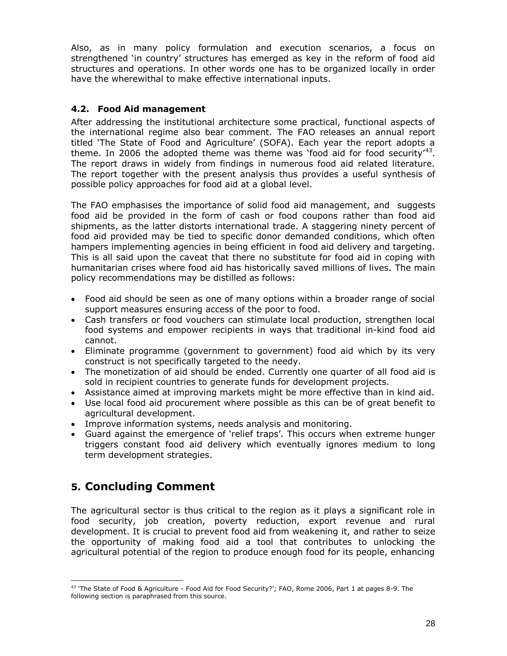Also, as in many policy formulation and execution scenarios, a focus on strengthened 'in country' structures has emerged as key in the reform of food aid structures and operations. In other words one has to be organized locally in order have the wherewithal to make effective international inputs.

### **4.2. Food Aid management**

After addressing the institutional architecture some practical, functional aspects of the international regime also bear comment. The FAO releases an annual report titled 'The State of Food and Agriculture' (SOFA). Each year the report adopts a theme. In 2006 the adopted theme was theme was 'food aid for food security'<sup>43</sup>. The report draws in widely from findings in numerous food aid related literature. The report together with the present analysis thus provides a useful synthesis of possible policy approaches for food aid at a global level.

The FAO emphasises the importance of solid food aid management, and suggests food aid be provided in the form of cash or food coupons rather than food aid shipments, as the latter distorts international trade. A staggering ninety percent of food aid provided may be tied to specific donor demanded conditions, which often hampers implementing agencies in being efficient in food aid delivery and targeting. This is all said upon the caveat that there no substitute for food aid in coping with humanitarian crises where food aid has historically saved millions of lives. The main policy recommendations may be distilled as follows:

- Food aid should be seen as one of many options within a broader range of social support measures ensuring access of the poor to food.
- Cash transfers or food vouchers can stimulate local production, strengthen local food systems and empower recipients in ways that traditional in-kind food aid cannot.
- Eliminate programme (government to government) food aid which by its very construct is not specifically targeted to the needy.
- The monetization of aid should be ended. Currently one quarter of all food aid is sold in recipient countries to generate funds for development projects.
- Assistance aimed at improving markets might be more effective than in kind aid.
- Use local food aid procurement where possible as this can be of great benefit to agricultural development.
- Improve information systems, needs analysis and monitoring.
- Guard against the emergence of 'relief traps'. This occurs when extreme hunger triggers constant food aid delivery which eventually ignores medium to long term development strategies.

# **5. Concluding Comment**

The agricultural sector is thus critical to the region as it plays a significant role in food security, job creation, poverty reduction, export revenue and rural development. It is crucial to prevent food aid from weakening it, and rather to seize the opportunity of making food aid a tool that contributes to unlocking the agricultural potential of the region to produce enough food for its people, enhancing

<sup>&</sup>lt;sup>43</sup> 'The State of Food & Agriculture - Food Aid for Food Security?'; FAO, Rome 2006, Part 1 at pages 8-9. The following section is paraphrased from this source.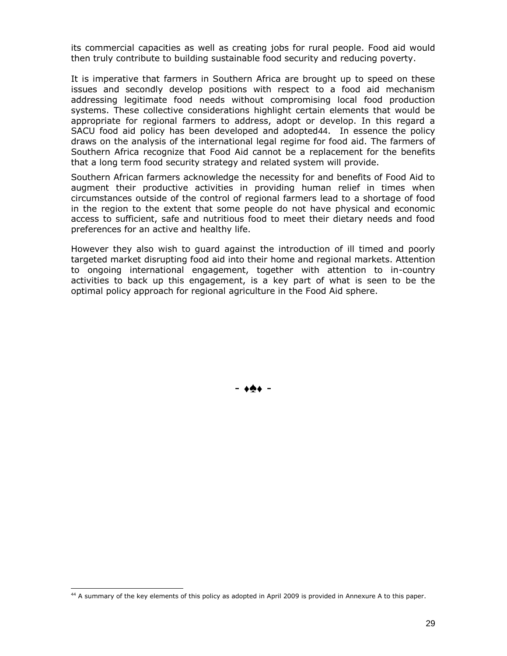its commercial capacities as well as creating jobs for rural people. Food aid would then truly contribute to building sustainable food security and reducing poverty.

It is imperative that farmers in Southern Africa are brought up to speed on these issues and secondly develop positions with respect to a food aid mechanism addressing legitimate food needs without compromising local food production systems. These collective considerations highlight certain elements that would be appropriate for regional farmers to address, adopt or develop. In this regard a SACU food aid policy has been developed and adopted44. In essence the policy draws on the analysis of the international legal regime for food aid. The farmers of Southern Africa recognize that Food Aid cannot be a replacement for the benefits that a long term food security strategy and related system will provide.

Southern African farmers acknowledge the necessity for and benefits of Food Aid to augment their productive activities in providing human relief in times when circumstances outside of the control of regional farmers lead to a shortage of food in the region to the extent that some people do not have physical and economic access to sufficient, safe and nutritious food to meet their dietary needs and food preferences for an active and healthy life.

However they also wish to guard against the introduction of ill timed and poorly targeted market disrupting food aid into their home and regional markets. Attention to ongoing international engagement, together with attention to in-country activities to back up this engagement, is a key part of what is seen to be the optimal policy approach for regional agriculture in the Food Aid sphere.

- -

<sup>44</sup> A summary of the key elements of this policy as adopted in April 2009 is provided in Annexure A to this paper.